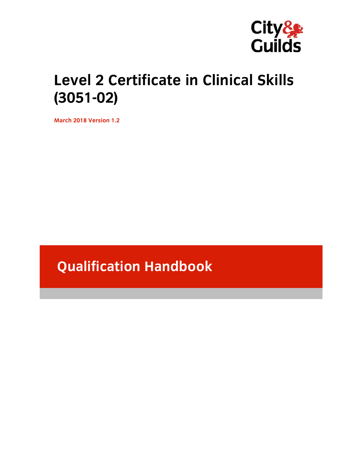

# **Level 2 Certificate in Clinical Skills (3051-02)**

**March 2018 Version 1.2** 

# **Qualification Handbook**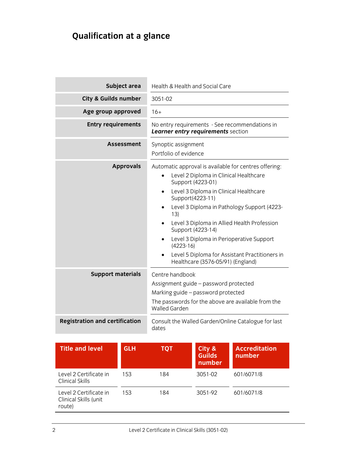## **Qualification at a glance**

the control of the control of the control of the control of the control of

| Subject area                          | <b>Health &amp; Health and Social Care</b>                                                                                                                                                                                                                                                                                                                                                                                                                                  |  |
|---------------------------------------|-----------------------------------------------------------------------------------------------------------------------------------------------------------------------------------------------------------------------------------------------------------------------------------------------------------------------------------------------------------------------------------------------------------------------------------------------------------------------------|--|
| City & Guilds number                  | 3051-02                                                                                                                                                                                                                                                                                                                                                                                                                                                                     |  |
| Age group approved                    | $16+$                                                                                                                                                                                                                                                                                                                                                                                                                                                                       |  |
| <b>Entry requirements</b>             | No entry requirements - See recommendations in<br>Learner entry requirements section                                                                                                                                                                                                                                                                                                                                                                                        |  |
| <b>Assessment</b>                     | Synoptic assignment<br>Portfolio of evidence                                                                                                                                                                                                                                                                                                                                                                                                                                |  |
| <b>Approvals</b>                      | Automatic approval is available for centres offering:<br>Level 2 Diploma in Clinical Healthcare<br>$\bullet$<br>Support (4223-01)<br>Level 3 Diploma in Clinical Healthcare<br>Support(4223-11)<br>Level 3 Diploma in Pathology Support (4223-<br>13)<br>Level 3 Diploma in Allied Health Profession<br>Support (4223-14)<br>Level 3 Diploma in Perioperative Support<br>$(4223-16)$<br>Level 5 Diploma for Assistant Practitioners in<br>Healthcare (3576-05/91) (England) |  |
| <b>Support materials</b>              | Centre handbook<br>Assignment guide - password protected<br>Marking guide - password protected<br>The passwords for the above are available from the<br><b>Walled Garden</b>                                                                                                                                                                                                                                                                                                |  |
| <b>Registration and certification</b> | Consult the Walled Garden/Online Catalogue for last<br>dates                                                                                                                                                                                                                                                                                                                                                                                                                |  |

| <b>Title and level</b>                                    | <b>GLH</b> | тот | City &<br><b>Guilds</b><br>number | <b>Accreditation</b><br>number |
|-----------------------------------------------------------|------------|-----|-----------------------------------|--------------------------------|
| Level 2 Certificate in<br>Clinical Skills                 | 153        | 184 | $3051 - 02$                       | 601/6071/8                     |
| Level 2 Certificate in<br>Clinical Skills (unit<br>route) | 153        | 184 | 3051-92                           | 601/6071/8                     |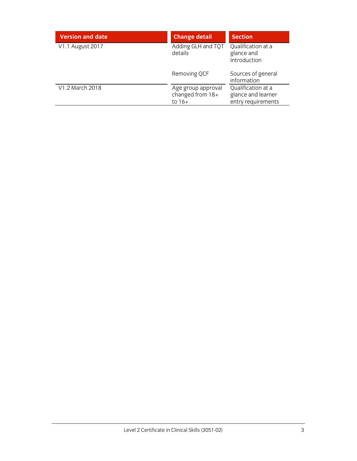| <b>Version and date</b> | <b>Change detail</b>                               | <b>Section</b>                                                 |
|-------------------------|----------------------------------------------------|----------------------------------------------------------------|
| V1.1 August 2017        | Adding GLH and TQT<br>details                      | Qualification at a<br>glance and<br>Introduction               |
|                         | Removing QCF                                       | Sources of general<br>information                              |
| V1.2 March 2018         | Age group approval<br>changed from 18+<br>to $16+$ | Qualification at a<br>glance and learner<br>entry requirements |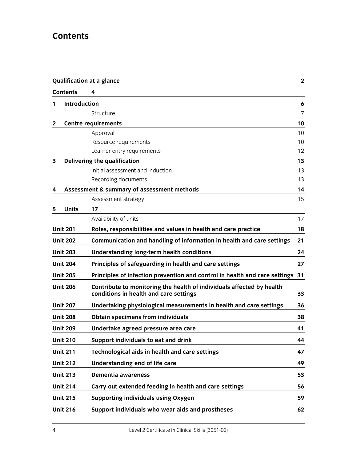## **Contents**

|   |                 | <b>Qualification at a glance</b>                                                                                | $\mathbf{2}$    |
|---|-----------------|-----------------------------------------------------------------------------------------------------------------|-----------------|
|   | <b>Contents</b> | 4                                                                                                               |                 |
| 1 | Introduction    |                                                                                                                 | 6               |
|   |                 | Structure                                                                                                       | $\overline{7}$  |
| 2 |                 | <b>Centre requirements</b>                                                                                      | 10              |
|   |                 | Approval                                                                                                        | 10 <sup>1</sup> |
|   |                 | Resource requirements                                                                                           | 10              |
|   |                 | Learner entry requirements                                                                                      | 12              |
| 3 |                 | Delivering the qualification                                                                                    | 13              |
|   |                 | Initial assessment and induction                                                                                | 13              |
|   |                 | Recording documents                                                                                             | 13              |
| 4 |                 | Assessment & summary of assessment methods                                                                      | 14              |
|   |                 | Assessment strategy                                                                                             | 15              |
| 5 | <b>Units</b>    | 17                                                                                                              |                 |
|   |                 | Availability of units                                                                                           | 17              |
|   | <b>Unit 201</b> | Roles, responsibilities and values in health and care practice                                                  | 18              |
|   | <b>Unit 202</b> | Communication and handling of information in health and care settings                                           | 21              |
|   | <b>Unit 203</b> | Understanding long-term health conditions                                                                       | 24              |
|   | <b>Unit 204</b> | Principles of safeguarding in health and care settings                                                          | 27              |
|   | <b>Unit 205</b> | Principles of infection prevention and control in health and care settings 31                                   |                 |
|   | <b>Unit 206</b> | Contribute to monitoring the health of individuals affected by health<br>conditions in health and care settings | 33              |
|   | <b>Unit 207</b> | Undertaking physiological measurements in health and care settings                                              | 36              |
|   | <b>Unit 208</b> | <b>Obtain specimens from individuals</b>                                                                        | 38              |
|   | <b>Unit 209</b> | Undertake agreed pressure area care                                                                             | 41              |
|   | <b>Unit 210</b> | Support individuals to eat and drink                                                                            | 44              |
|   | <b>Unit 211</b> | Technological aids in health and care settings                                                                  | 47              |
|   | <b>Unit 212</b> | Understanding end of life care                                                                                  | 49              |
|   | <b>Unit 213</b> | <b>Dementia awareness</b>                                                                                       | 53              |
|   | <b>Unit 214</b> | Carry out extended feeding in health and care settings                                                          | 56              |
|   | <b>Unit 215</b> | <b>Supporting individuals using Oxygen</b>                                                                      | 59              |
|   | <b>Unit 216</b> | Support individuals who wear aids and prostheses                                                                | 62              |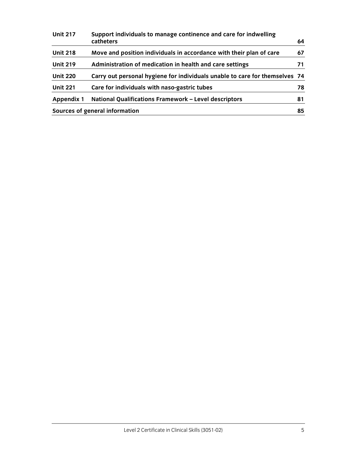| <b>Unit 217</b>   | Support individuals to manage continence and care for indwelling<br>catheters | 64 |
|-------------------|-------------------------------------------------------------------------------|----|
|                   |                                                                               |    |
| <b>Unit 218</b>   | Move and position individuals in accordance with their plan of care           | 67 |
| <b>Unit 219</b>   | Administration of medication in health and care settings                      | 71 |
| <b>Unit 220</b>   | Carry out personal hygiene for individuals unable to care for themselves 74   |    |
| <b>Unit 221</b>   | Care for individuals with naso-gastric tubes                                  | 78 |
| <b>Appendix 1</b> | National Qualifications Framework - Level descriptors                         | 81 |
|                   | Sources of general information                                                | 85 |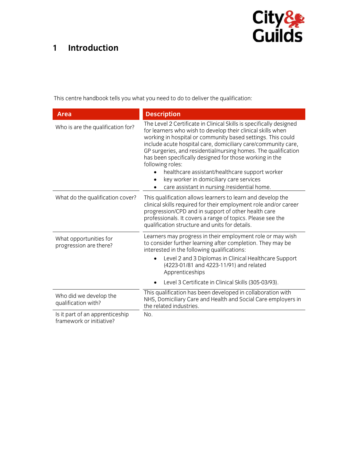## **1 Introduction**



This centre handbook tells you what you need to do to deliver the qualification:

| <b>Area</b>                                                 | <b>Description</b>                                                                                                                                                                                                                                                                                                                                                                                                                                                                                                                                               |
|-------------------------------------------------------------|------------------------------------------------------------------------------------------------------------------------------------------------------------------------------------------------------------------------------------------------------------------------------------------------------------------------------------------------------------------------------------------------------------------------------------------------------------------------------------------------------------------------------------------------------------------|
| Who is are the qualification for?                           | The Level 2 Certificate in Clinical Skills is specifically designed<br>for learners who wish to develop their clinical skills when<br>working in hospital or community based settings. This could<br>include acute hospital care, domiciliary care/community care,<br>GP surgeries, and residential/nursing homes. The qualification<br>has been specifically designed for those working in the<br>following roles:<br>healthcare assistant/healthcare support worker<br>key worker in domiciliary care services<br>care assistant in nursing /residential home. |
| What do the qualification cover?                            | This qualification allows learners to learn and develop the<br>clinical skills required for their employment role and/or career<br>progression/CPD and in support of other health care<br>professionals. It covers a range of topics. Please see the<br>qualification structure and units for details.                                                                                                                                                                                                                                                           |
| What opportunities for<br>progression are there?            | Learners may progress in their employment role or may wish<br>to consider further learning after completion. They may be<br>interested in the following qualifications:<br>Level 2 and 3 Diplomas in Clinical Healthcare Support<br>(4223-01/81 and 4223-11/91) and related<br>Apprenticeships<br>Level 3 Certificate in Clinical Skills (305-03/93).                                                                                                                                                                                                            |
| Who did we develop the<br>qualification with?               | This qualification has been developed in collaboration with<br>NHS, Domiciliary Care and Health and Social Care employers in<br>the related industries.                                                                                                                                                                                                                                                                                                                                                                                                          |
| Is it part of an apprenticeship<br>framework or initiative? | No.                                                                                                                                                                                                                                                                                                                                                                                                                                                                                                                                                              |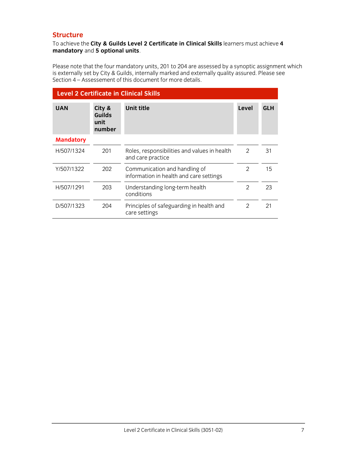## **Structure**

### To achieve the **City & Guilds Level 2 Certificate in Clinical Skills** learners must achieve **4 mandatory** and **5 optional units**.

Please note that the four mandatory units, 201 to 204 are assessed by a synoptic assignment which is externally set by City & Guilds, internally marked and externally quality assured. Please see Section 4 – Assessement of this document for more details.

| <b>Level 2 Certificate in Clinical Skills</b> |                                    |                                                                          |                |            |
|-----------------------------------------------|------------------------------------|--------------------------------------------------------------------------|----------------|------------|
| <b>UAN</b>                                    | City &<br>Guilds<br>unit<br>number | <b>Unit title</b>                                                        | Level          | <b>GLH</b> |
| <b>Mandatory</b>                              |                                    |                                                                          |                |            |
| H/507/1324                                    | 201                                | Roles, responsibilities and values in health<br>and care practice        | $\mathcal{P}$  | 31         |
| Y/507/1322                                    | 202                                | Communication and handling of<br>information in health and care settings | $\mathcal{P}$  | 15         |
| H/507/1291                                    | 203                                | Understanding long-term health<br>conditions                             | $\mathfrak{D}$ | 23         |
| D/507/1323                                    | 204                                | Principles of safeguarding in health and<br>care settings                | $\mathfrak{D}$ | 21         |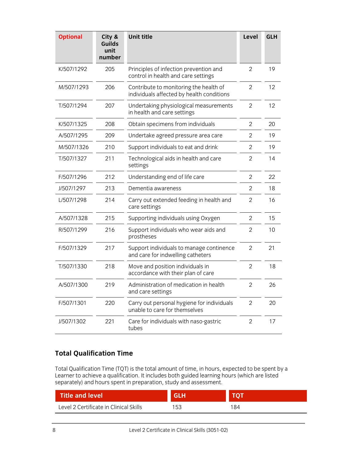| <b>Optional</b> | City &<br><b>Guilds</b><br>unit<br>number | <b>Unit title</b>                                                                   | Level          | <b>GLH</b> |
|-----------------|-------------------------------------------|-------------------------------------------------------------------------------------|----------------|------------|
| K/507/1292      | 205                                       | Principles of infection prevention and<br>control in health and care settings       | $\overline{2}$ | 19         |
| M/507/1293      | 206                                       | Contribute to monitoring the health of<br>individuals affected by health conditions | 2              | 12         |
| T/507/1294      | 207                                       | Undertaking physiological measurements<br>in health and care settings               | $\overline{2}$ | 12         |
| K/507/1325      | 208                                       | Obtain specimens from individuals                                                   | $\overline{2}$ | 20         |
| A/507/1295      | 209                                       | Undertake agreed pressure area care                                                 | 2              | 19         |
| M/507/1326      | 210                                       | Support individuals to eat and drink                                                | 2              | 19         |
| T/507/1327      | 211                                       | Technological aids in health and care<br>settings                                   | $\overline{2}$ | 14         |
| F/507/1296      | 212                                       | Understanding end of life care                                                      | $\overline{2}$ | 22         |
| J/507/1297      | 213                                       | Dementia awareness                                                                  | 2              | 18         |
| L/507/1298      | 214                                       | Carry out extended feeding in health and<br>care settings                           | $\overline{2}$ | 16         |
| A/507/1328      | 215                                       | Supporting individuals using Oxygen                                                 | $\overline{2}$ | 15         |
| R/507/1299      | 216                                       | Support individuals who wear aids and<br>prostheses                                 | 2              | 10         |
| F/507/1329      | 217                                       | Support individuals to manage continence<br>and care for indwelling catheters       | $\overline{2}$ | 21         |
| T/507/1330      | 218                                       | Move and position individuals in<br>accordance with their plan of care              | $\overline{2}$ | 18         |
| A/507/1300      | 219                                       | Administration of medication in health<br>and care settings                         | $\overline{2}$ | 26         |
| F/507/1301      | 220                                       | Carry out personal hygiene for individuals<br>unable to care for themselves         | 2              | 20         |
| J/507/1302      | 221                                       | Care for individuals with naso-gastric<br>tubes                                     | $\overline{2}$ | 17         |

## **Total Qualification Time**

Total Qualification Time (TQT) is the total amount of time, in hours, expected to be spent by a Learner to achieve a qualification. It includes both guided learning hours (which are listed separately) and hours spent in preparation, study and assessment.

| <b>Title and level</b>                 | <b>GLH</b> | тот |
|----------------------------------------|------------|-----|
| Level 2 Certificate in Clinical Skills | 153        | 184 |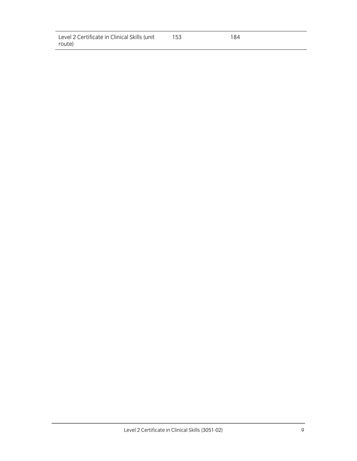| Level 2 Certificate in Clinical Skills (unit | 153 | 184 |
|----------------------------------------------|-----|-----|
| route)                                       |     |     |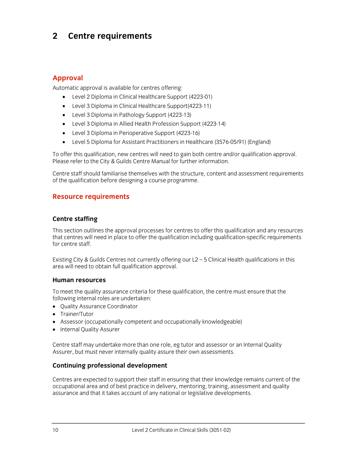## **2 Centre requirements**

## **Approval**

Automatic approval is available for centres offering:

- Level 2 Diploma in Clinical Healthcare Support (4223-01)
- Level 3 Diploma in Clinical Healthcare Support(4223-11)
- Level 3 Diploma in Pathology Support (4223-13)
- Level 3 Diploma in Allied Health Profession Support (4223-14)
- Level 3 Diploma in Perioperative Support (4223-16)
- Level 5 Diploma for Assistant Practitioners in Healthcare (3576-05/91) (England)

To offer this qualification, new centres will need to gain both centre and/or qualification approval. Please refer to the City & Guilds Centre Manual for further information.

Centre staff should familiarise themselves with the structure, content and assessment requirements of the qualification before designing a course programme.

## **Resource requirements**

### **Centre staffing**

This section outlines the approval processes for centres to offer this qualification and any resources that centres will need in place to offer the qualification including qualification-specific requirements for centre staff.

Existing City & Guilds Centres not currently offering our L2 – 5 Clinical Health qualifications in this area will need to obtain full qualification approval.

### **Human resources**

To meet the quality assurance criteria for these qualification, the centre must ensure that the following internal roles are undertaken:

- Ouality Assurance Coordinator
- Trainer/Tutor
- Assessor (occupationally competent and occupationally knowledgeable)
- Internal Quality Assurer

Centre staff may undertake more than one role, eg tutor and assessor or an Internal Quality Assurer, but must never internally quality assure their own assessments.

### **Continuing professional development**

Centres are expected to support their staff in ensuring that their knowledge remains current of the occupational area and of best practice in delivery, mentoring, training, assessment and quality assurance and that it takes account of any national or legislative developments.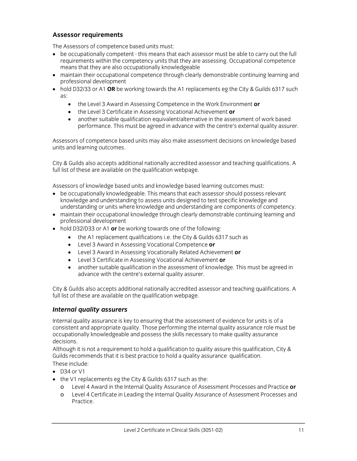## **Assessor requirements**

The Assessors of competence based units must:

- be occupationally competent this means that each assessor must be able to carry out the full requirements within the competency units that they are assessing. Occupational competence means that they are also occupationally knowledgeable
- maintain their occupational competence through clearly demonstrable continuing learning and professional development
- hold D32/33 or A1 OR be working towards the A1 replacements eg the City & Guilds 6317 such as:
	- the Level 3 Award in Assessing Competence in the Work Environment **or**
	- the Level 3 Certificate in Assessing Vocational Achievement **or**
	- another suitable qualification equivalent/alternative in the assessment of work based performance. This must be agreed in advance with the centre's external quality assurer.

Assessors of competence based units may also make assessment decisions on knowledge based units and learning outcomes.

City & Guilds also accepts additional nationally accredited assessor and teaching qualifications. A full list of these are available on the qualification webpage.

Assessors of knowledge based units and knowledge based learning outcomes must:

- be occupationally knowledgeable. This means that each assessor should possess relevant knowledge and understanding to assess units designed to test specific knowledge and understanding or units where knowledge and understanding are components of competency.
- maintain their occupational knowledge through clearly demonstrable continuing learning and professional development
- hold D32/D33 or A1 **or** be working towards one of the following:
	- the A1 replacement qualifications i.e. the City & Guilds 6317 such as
	- Level 3 Award in Assessing Vocational Competence **or**
	- Level 3 Award in Assessing Vocationally Related Achievement **or**
	- Level 3 Certificate in Assessing Vocational Achievement **or**
	- another suitable qualification in the assessment of knowledge. This must be agreed in advance with the centre's external quality assurer.

City & Guilds also accepts additional nationally accredited assessor and teaching qualifications. A full list of these are available on the qualification webpage.

### *Internal quality assurers*

Internal quality assurance is key to ensuring that the assessment of evidence for units is of a consistent and appropriate quality. Those performing the internal quality assurance role must be occupationally knowledgeable and possess the skills necessary to make quality assurance decisions.

Although it is not a requirement to hold a qualification to quality assure this qualification, City & Guilds recommends that it is best practice to hold a quality assurance qualification. These include:

- $\bullet$  D34 or V1
- the V1 replacements eg the City & Guilds 6317 such as the:
	- Level 4 Award in the Internal Quality Assurance of Assessment Processes and Practice or
	- o Level 4 Certificate in Leading the Internal Quality Assurance of Assessment Processes and Practice.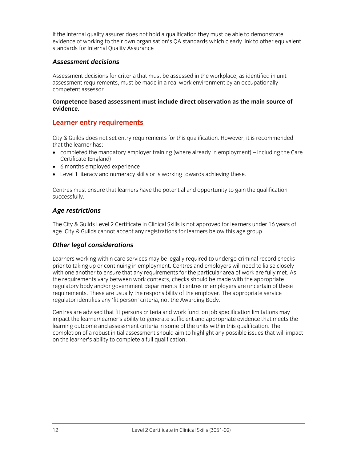If the internal quality assurer does not hold a qualification they must be able to demonstrate evidence of working to their own organisation's QA standards which clearly link to other equivalent standards for Internal Quality Assurance

## *Assessment decisions*

Assessment decisions for criteria that must be assessed in the workplace, as identified in unit assessment requirements, must be made in a real work environment by an occupationally competent assessor.

#### **Competence based assessment must include direct observation as the main source of evidence.**

## **Learner entry requirements**

City & Guilds does not set entry requirements for this qualification. However, it is recommended that the learner has:

- completed the mandatory employer training (where already in employment) including the Care Certificate (England)
- 6 months employed experience
- Level 1 literacy and numeracy skills or is working towards achieving these.

Centres must ensure that learners have the potential and opportunity to gain the qualification successfully.

## *Age restrictions*

The City & Guilds Level 2 Certificate in Clinical Skills is not approved for learners under 16 years of age. City & Guilds cannot accept any registrations for learners below this age group.

## *Other legal considerations*

Learners working within care services may be legally required to undergo criminal record checks prior to taking up or continuing in employment. Centres and employers will need to liaise closely with one another to ensure that any requirements for the particular area of work are fully met. As the requirements vary between work contexts, checks should be made with the appropriate regulatory body and/or government departments if centres or employers are uncertain of these requirements. These are usually the responsibility of the employer. The appropriate service regulator identifies any 'fit person' criteria, not the Awarding Body.

Centres are advised that fit persons criteria and work function job specification limitations may impact the learner/learner's ability to generate sufficient and appropriate evidence that meets the learning outcome and assessment criteria in some of the units within this qualification. The completion of a robust initial assessment should aim to highlight any possible issues that will impact on the learner's ability to complete a full qualification.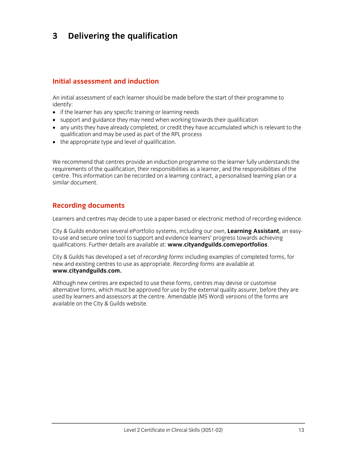## **3 Delivering the qualification**

## **Initial assessment and induction**

An initial assessment of each learner should be made before the start of their programme to identify:

- if the learner has any specific training or learning needs
- support and guidance they may need when working towards their qualification
- any units they have already completed, or credit they have accumulated which is relevant to the qualification and may be used as part of the RPL process
- the appropriate type and level of qualification.

We recommend that centres provide an induction programme so the learner fully understands the requirements of the qualification, their responsibilities as a learner, and the responsibilities of the centre. This information can be recorded on a learning contract, a personalised learning plan or a similar document.

## **Recording documents**

Learners and centres may decide to use a paper-based or electronic method of recording evidence.

City & Guilds endorses several ePortfolio systems, including our own, **Learning Assistant**, an easyto-use and secure online tool to support and evidence learners' progress towards achieving qualifications. Further details are available at: **www.cityandguilds.com/eportfolios**.

City & Guilds has developed a set of *recording forms* including examples of completed forms, for new and existing centres to use as appropriate. *Recording forms* are available at **www.cityandguilds.com.**

Although new centres are expected to use these forms, centres may devise or customise alternative forms, which must be approved for use by the external quality assurer, before they are used by learners and assessors at the centre. Amendable (MS Word) versions of the forms are available on the City & Guilds website.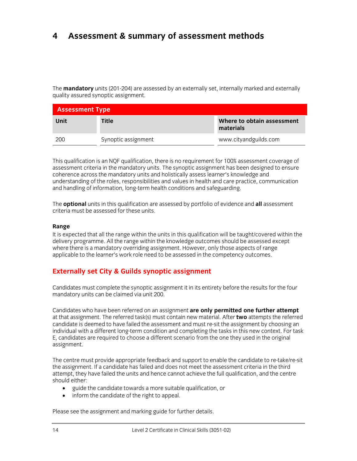## **4 Assessment & summary of assessment methods**

The **mandatory** units (201-204) are assessed by an externally set, internally marked and externally quality assured synoptic assignment.

| <b>Assessment Type</b> |                     |                                         |  |
|------------------------|---------------------|-----------------------------------------|--|
| Unit                   | <b>Title</b>        | Where to obtain assessment<br>materials |  |
| 200                    | Synoptic assignment | www.cityandguilds.com                   |  |

This qualification is an NQF qualification, there is no requirement for 100% assessment coverage of assessment criteria in the mandatory units. The synoptic assignment has been designed to ensure coherence across the mandatory units and holistically assess learner's knowledge and understanding of the roles, responsibilities and values in health and care practice, communication and handling of information, long-term health conditions and safeguarding.

The **optional** units in this qualification are assessed by portfolio of evidence and **all** assessment criteria must be assessed for these units.

#### **Range**

It is expected that all the range within the units in this qualification will be taught/covered within the delivery programme. All the range within the knowledge outcomes should be assessed except where there is a mandatory overriding assignment. However, only those aspects of range applicable to the learner's work role need to be assessed in the competency outcomes.

## **Externally set City & Guilds synoptic assignment**

Candidates must complete the synoptic assignment it in its entirety before the results for the four mandatory units can be claimed via unit 200.

Candidates who have been referred on an assignment **are only permitted one further attempt**  at that assignment. The referred task(s) must contain new material. After **two** attempts the referred candidate is deemed to have failed the assessment and must re-sit the assignment by choosing an individual with a different long-term condition and completing the tasks in this new context. For task E, candidates are required to choose a different scenario from the one they used in the original assignment.

The centre must provide appropriate feedback and support to enable the candidate to re-take/re-sit the assignment. If a candidate has failed and does not meet the assessment criteria in the third attempt, they have failed the units and hence cannot achieve the full qualification, and the centre should either:

- guide the candidate towards a more suitable qualification, or
- inform the candidate of the right to appeal.

Please see the assignment and marking guide for further details.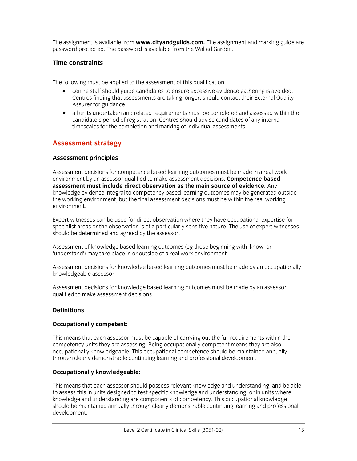The assignment is available from **www.cityandguilds.com.** The assignment and marking guide are password protected. The password is available from the Walled Garden.

### **Time constraints**

The following must be applied to the assessment of this qualification:

- centre staff should guide candidates to ensure excessive evidence gathering is avoided. Centres finding that assessments are taking longer, should contact their External Quality Assurer for guidance.
- all units undertaken and related requirements must be completed and assessed within the candidate's period of registration. Centres should advise candidates of any internal timescales for the completion and marking of individual assessments.

## **Assessment strategy**

#### **Assessment principles**

Assessment decisions for competence based learning outcomes must be made in a real work environment by an assessor qualified to make assessment decisions. **Competence based assessment must include direct observation as the main source of evidence.** Any knowledge evidence integral to competency based learning outcomes may be generated outside the working environment, but the final assessment decisions must be within the real working environment.

Expert witnesses can be used for direct observation where they have occupational expertise for specialist areas or the observation is of a particularly sensitive nature. The use of expert witnesses should be determined and agreed by the assessor.

Assessment of knowledge based learning outcomes (eg those beginning with 'know' or 'understand') may take place in or outside of a real work environment.

Assessment decisions for knowledge based learning outcomes must be made by an occupationally knowledgeable assessor.

Assessment decisions for knowledge based learning outcomes must be made by an assessor qualified to make assessment decisions.

### **Definitions**

#### **Occupationally competent:**

This means that each assessor must be capable of carrying out the full requirements within the competency units they are assessing. Being occupationally competent means they are also occupationally knowledgeable. This occupational competence should be maintained annually through clearly demonstrable continuing learning and professional development.

#### **Occupationally knowledgeable:**

This means that each assessor should possess relevant knowledge and understanding, and be able to assess this in units designed to test specific knowledge and understanding, or in units where knowledge and understanding are components of competency. This occupational knowledge should be maintained annually through clearly demonstrable continuing learning and professional development.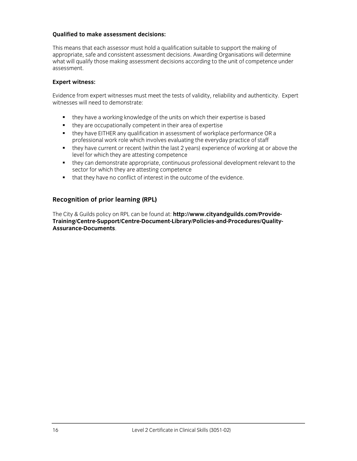#### **Qualified to make assessment decisions:**

This means that each assessor must hold a qualification suitable to support the making of appropriate, safe and consistent assessment decisions. Awarding Organisations will determine what will qualify those making assessment decisions according to the unit of competence under assessment.

#### **Expert witness:**

Evidence from expert witnesses must meet the tests of validity, reliability and authenticity. Expert witnesses will need to demonstrate:

- they have a working knowledge of the units on which their expertise is based
- they are occupationally competent in their area of expertise
- they have EITHER any qualification in assessment of workplace performance OR a professional work role which involves evaluating the everyday practice of staff
- they have current or recent (within the last 2 years) experience of working at or above the level for which they are attesting competence
- they can demonstrate appropriate, continuous professional development relevant to the sector for which they are attesting competence
- that they have no conflict of interest in the outcome of the evidence.

## **Recognition of prior learning (RPL)**

The City & Guilds policy on RPL can be found at: **http://www.cityandguilds.com/Provide-Training/Centre-Support/Centre-Document-Library/Policies-and-Procedures/Quality-Assurance-Documents**.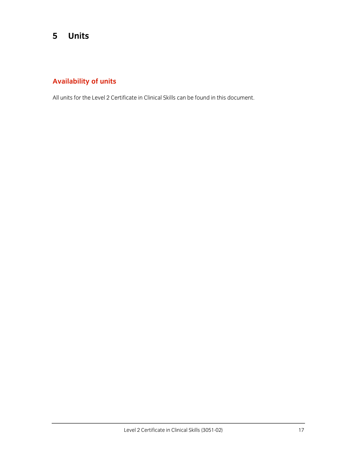## **5 Units**

## **Availability of units**

All units for the Level 2 Certificate in Clinical Skills can be found in this document.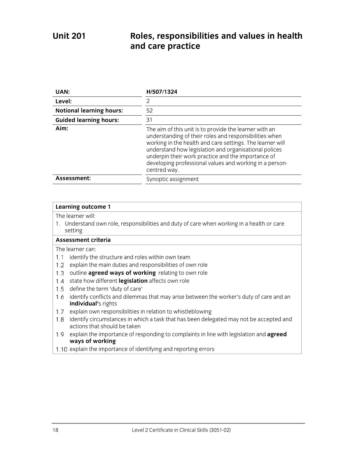## **Unit 201 Roles, responsibilities and values in health and care practice**

| UAN:                            | H/507/1324                                                                                                                                                                                                                                                                                                                                                              |
|---------------------------------|-------------------------------------------------------------------------------------------------------------------------------------------------------------------------------------------------------------------------------------------------------------------------------------------------------------------------------------------------------------------------|
| Level:                          | 2                                                                                                                                                                                                                                                                                                                                                                       |
| <b>Notional learning hours:</b> | 52                                                                                                                                                                                                                                                                                                                                                                      |
| <b>Guided learning hours:</b>   | 31                                                                                                                                                                                                                                                                                                                                                                      |
| Aim:                            | The aim of this unit is to provide the learner with an<br>understanding of their roles and responsibilities when<br>working in the health and care settings. The learner will<br>understand how legislation and organisational polices<br>underpin their work practice and the importance of<br>developing professional values and working in a person-<br>centred way. |
| Assessment:                     | Synoptic assignment                                                                                                                                                                                                                                                                                                                                                     |

#### **Learning outcome 1**

The learner will:

1. Understand own role, responsibilities and duty of care when working in a health or care setting

### **Assessment criteria**

- 1.1 identify the structure and roles within own team
- 1.2 explain the main duties and responsibilities of own role
- 1.3 outline **agreed ways of working** relating to own role
- 1.4 state how different **legislation** affects own role
- 1.5 define the term 'duty of care'
- 1.6 identify conflicts and dilemmas that may arise between the worker's duty of care and an **individual'**s rights
- 1.7 explain own responsibilities in relation to whistleblowing
- 1.8 identify circumstances in which a task that has been delegated may not be accepted and actions that should be taken
- explain the importance of responding to complaints in line with legislation and **agreed ways of working**
- 1.10 explain the importance of identifying and reporting errors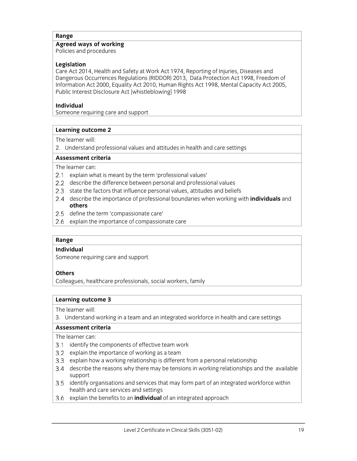## **Agreed ways of working**

Policies and procedures

#### **Legislation**

Care Act 2014, Health and Safety at Work Act 1974, Reporting of Injuries, Diseases and Dangerous Occurrences Regulations (RIDDOR) 2013, Data Protection Act 1998, Freedom of Information Act 2000, Equality Act 2010, Human Rights Act 1998, Mental Capacity Act 2005, Public Interest Disclosure Act [whistleblowing] 1998

### **Individual**

Someone requiring care and support

#### **Learning outcome 2**

The learner will:

2. Understand professional values and attitudes in health and care settings

#### **Assessment criteria**

The learner can:

- 2.1 explain what is meant by the term 'professional values'
- describe the difference between personal and professional values
- 2.3 state the factors that influence personal values, attitudes and beliefs
- describe the importance of professional boundaries when working with **individuals** and **others**
- 2.5 define the term 'compassionate care'
- 2.6 explain the importance of compassionate care

#### **Range**

#### **Individual**

Someone requiring care and support

#### **Others**

Colleagues, healthcare professionals, social workers, family

#### **Learning outcome 3**

The learner will:

3. Understand working in a team and an integrated workforce in health and care settings

### **Assessment criteria**

- 3.1 identify the components of effective team work
- 3.2 explain the importance of working as a team
- 3.3 explain how a working relationship is different from a personal relationship
- describe the reasons why there may be tensions in working relationships and the available support
- 3.5 identify organisations and services that may form part of an integrated workforce within health and care services and settings
- 3.6 explain the benefits to an **individual** of an integrated approach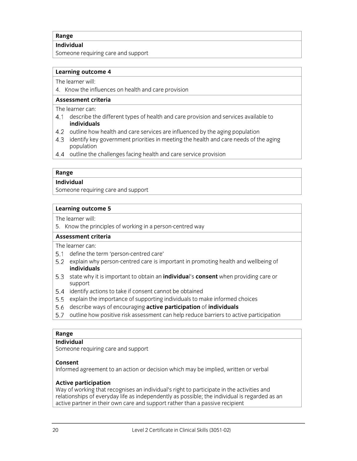**Individual** 

Someone requiring care and support

#### **Learning outcome 4**

The learner will:

4. Know the influences on health and care provision

**Assessment criteria**

The learner can:

- describe the different types of health and care provision and services available to **individuals**
- 4.2 outline how health and care services are influenced by the aging population
- 4.3 identify key government priorities in meeting the health and care needs of the aging population
- 4.4 outline the challenges facing health and care service provision

#### **Range**

#### **Individual**

Someone requiring care and support

#### **Learning outcome 5**

The learner will:

5. Know the principles of working in a person-centred way

#### **Assessment criteria**

The learner can:

- 5.1 define the term 'person-centred care'
- 5.2 explain why person-centred care is important in promoting health and wellbeing of **individuals**
- state why it is important to obtain an **individua**l's **consent** when providing care or support
- 5.4 identify actions to take if consent cannot be obtained
- 5.5 explain the importance of supporting individuals to make informed choices
- describe ways of encouraging **active participation** of **individuals**
- 5.7 outline how positive risk assessment can help reduce barriers to active participation

### **Range**

#### **Individual**

Someone requiring care and support

#### **Consent**

Informed agreement to an action or decision which may be implied, written or verbal

### **Active participation**

Way of working that recognises an individual's right to participate in the activities and relationships of everyday life as independently as possible; the individual is regarded as an active partner in their own care and support rather than a passive recipient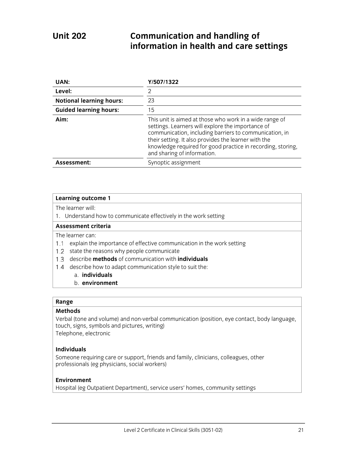## **Unit 202 Communication and handling of information in health and care settings**

| UAN:                            | Y/507/1322                                                                                                                                                                                                                                                                                                                   |
|---------------------------------|------------------------------------------------------------------------------------------------------------------------------------------------------------------------------------------------------------------------------------------------------------------------------------------------------------------------------|
| Level:                          |                                                                                                                                                                                                                                                                                                                              |
| <b>Notional learning hours:</b> | 23                                                                                                                                                                                                                                                                                                                           |
| <b>Guided learning hours:</b>   | 15                                                                                                                                                                                                                                                                                                                           |
| Aim:                            | This unit is aimed at those who work in a wide range of<br>settings. Learners will explore the importance of<br>communication, including barriers to communication, in<br>their setting. It also provides the learner with the<br>knowledge required for good practice in recording, storing,<br>and sharing of information. |
| Assessment:                     | Synoptic assignment                                                                                                                                                                                                                                                                                                          |

#### **Learning outcome 1**

The learner will:

1. Understand how to communicate effectively in the work setting

#### **Assessment criteria**

The learner can:

- 1.1 explain the importance of effective communication in the work setting
- 1.2 state the reasons why people communicate
- describe **methods** of communication with **individuals**
- 1.4 describe how to adapt communication style to suit the:
	- a. **individuals**
	- b. **environment**

#### **Range**

#### **Methods**

Verbal (tone and volume) and non-verbal communication (position, eye contact, body language, touch, signs, symbols and pictures, writing) Telephone, electronic

#### **Individuals**

Someone requiring care or support, friends and family, clinicians, colleagues, other professionals (eg physicians, social workers)

#### **Environment**

Hospital (eg Outpatient Department), service users' homes, community settings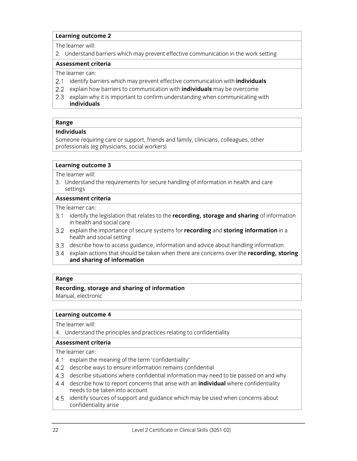#### **Learning outcome 2**

The learner will:

2. Understand barriers which may prevent effective communication in the work setting

#### **Assessment criteria**

The learner can:

- identify barriers which may prevent effective communication with **individuals**
- explain how barriers to communication with **individuals** may be overcome
- 2.3 explain why it is important to confirm understanding when communicating with **individuals**

#### **Range**

#### **Individuals**

Someone requiring care or support, friends and family, clinicians, colleagues, other professionals (eg physicians, social workers)

#### **Learning outcome 3**

The learner will:

3. Understand the requirements for secure handling of information in health and care settings

#### **Assessment criteria**

The learner can:

- identify the legislation that relates to the **recording, storage and sharing** of information in health and social care
- explain the importance of secure systems for **recording** and **storing information** in a health and social setting
- describe how to access guidance, information and advice about handling information
- explain actions that should be taken when there are concerns over the **recording, storing and sharing of information**

#### **Range**

## **Recording, storage and sharing of information**

Manual, electronic

#### **Learning outcome 4**

The learner will:

4. Understand the principles and practices relating to confidentiality

### **Assessment criteria**

- 4.1 explain the meaning of the term 'confidentiality'
- 4.2 describe ways to ensure information remains confidential
- describe situations where confidential information may need to be passed on and why
- describe how to report concerns that arise with an **individual** where confidentiality needs to be taken into account
- 4.5 identify sources of support and guidance which may be used when concerns about confidentiality arise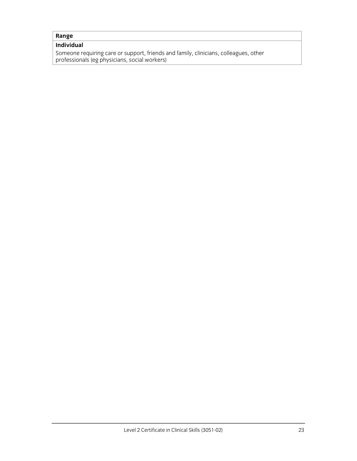## **Individual**

Someone requiring care or support, friends and family, clinicians, colleagues, other professionals (eg physicians, social workers)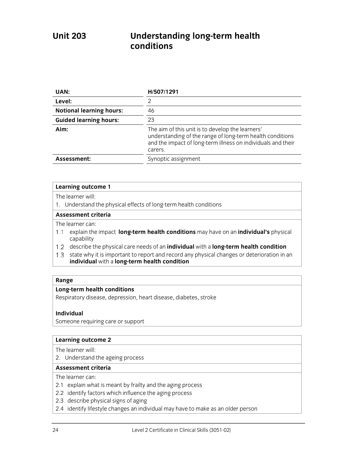## **Unit 203 Understanding long-term health conditions**

| UAN:                            | H/507/1291                                                                                                                                                                               |
|---------------------------------|------------------------------------------------------------------------------------------------------------------------------------------------------------------------------------------|
| Level:                          | っ                                                                                                                                                                                        |
| <b>Notional learning hours:</b> | 46                                                                                                                                                                                       |
| <b>Guided learning hours:</b>   | 23                                                                                                                                                                                       |
| Aim:                            | The aim of this unit is to develop the learners'<br>understanding of the range of long-term health conditions<br>and the impact of long-term illness on individuals and their<br>carers. |
| Assessment:                     | Synoptic assignment                                                                                                                                                                      |

#### **Learning outcome 1**

The learner will:

1. Understand the physical effects of long-term health conditions

#### **Assessment criteria**

The learner can:

- explain the impact **long-term health conditions** may have on an **individual's** physical capability
- describe the physical care needs of an **individual** with a **long-term health condition**
- 1.3 state why it is important to report and record any physical changes or deterioration in an **individual** with a **long-term health condition**

#### **Range**

#### **Long-term health conditions**

Respiratory disease, depression, heart disease, diabetes, stroke

Someone requiring care or support

#### **Learning outcome 2**

The learner will:

2. Understand the ageing process

#### **Assessment criteria**

- 2.1 explain what is meant by frailty and the aging process
- 2.2 identify factors which influence the aging process
- 2.3 describe physical signs of aging
- 2.4 identify lifestyle changes an individual may have to make as an older person

**Individual**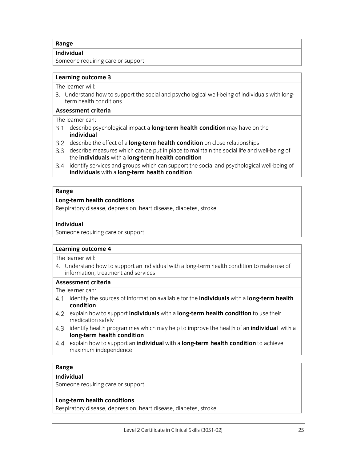#### **Individual**

Someone requiring care or support

#### **Learning outcome 3**

The learner will:

3. Understand how to support the social and psychological well-being of individuals with longterm health conditions

#### **Assessment criteria**

The learner can:

- describe psychological impact a **long-term health condition** may have on the **individual**
- describe the effect of a **long-term health condition** on close relationships
- describe measures which can be put in place to maintain the social life and well-being of the **individuals** with a **long-term health condition**
- 3.4 identify services and groups which can support the social and psychological well-being of **individuals** with a **long-term health condition**

#### **Range**

#### **Long-term health conditions**

Respiratory disease, depression, heart disease, diabetes, stroke

#### **Individual**

Someone requiring care or support

#### **Learning outcome 4**

The learner will:

4. Understand how to support an individual with a long-term health condition to make use of information, treatment and services

#### **Assessment criteria**

The learner can:

- identify the sources of information available for the **individuals** with a **long-term health condition**
- explain how to support **individuals** with a **long-term health condition** to use their medication safely
- identify health programmes which may help to improve the health of an **individual** with a **long-term health condition**
- explain how to support an **individual** with a **long-term health condition** to achieve maximum independence

#### **Range**

#### **Individual**

Someone requiring care or support

#### **Long-term health conditions**

Respiratory disease, depression, heart disease, diabetes, stroke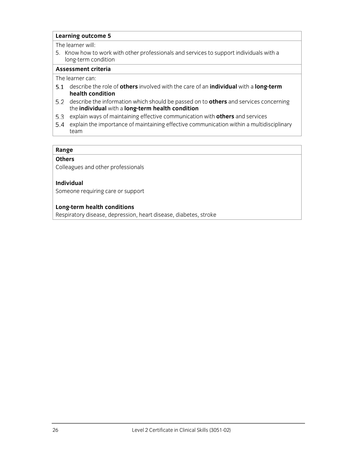#### **Learning outcome 5**

#### The learner will:

5. Know how to work with other professionals and services to support individuals with a long-term condition

### **Assessment criteria**

The learner can:

- describe the role of **others** involved with the care of an **individual** with a **long-term health condition**
- describe the information which should be passed on to **others** and services concerning the **individual** with a **long-term health condition**
- explain ways of maintaining effective communication with **others** and services
- explain the importance of maintaining effective communication within a multidisciplinary team

#### **Range**

#### **Others**

Colleagues and other professionals

#### **Individual**

Someone requiring care or support

#### **Long-term health conditions**

Respiratory disease, depression, heart disease, diabetes, stroke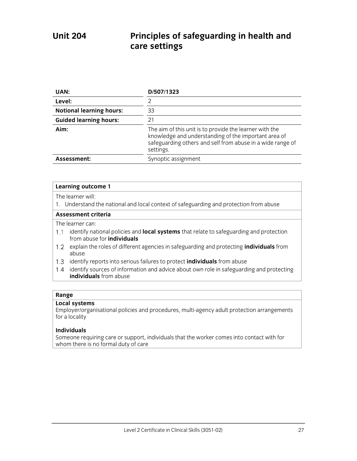## **Unit 204 Principles of safeguarding in health and care settings**

| UAN:                            | D/507/1323                                                                                                                                                                                 |
|---------------------------------|--------------------------------------------------------------------------------------------------------------------------------------------------------------------------------------------|
| Level:                          |                                                                                                                                                                                            |
| <b>Notional learning hours:</b> | 33                                                                                                                                                                                         |
| <b>Guided learning hours:</b>   | 21                                                                                                                                                                                         |
| Aim:                            | The aim of this unit is to provide the learner with the<br>knowledge and understanding of the important area of<br>safeguarding others and self from abuse in a wide range of<br>settings. |
| Assessment:                     | Synoptic assignment                                                                                                                                                                        |

#### **Learning outcome 1**

The learner will:

1. Understand the national and local context of safeguarding and protection from abuse

#### **Assessment criteria**

The learner can:

- identify national policies and **local systems** that relate to safeguarding and protection from abuse for **individuals**
- explain the roles of different agencies in safeguarding and protecting **individuals** from abuse
- 1.3 identify reports into serious failures to protect **individuals** from abuse
- 1.4 identify sources of information and advice about own role in safeguarding and protecting **individuals** from abuse

#### **Range**

#### **Local systems**

Employer/organisational policies and procedures, multi-agency adult protection arrangements for a locality

#### **Individuals**

Someone requiring care or support, individuals that the worker comes into contact with for whom there is no formal duty of care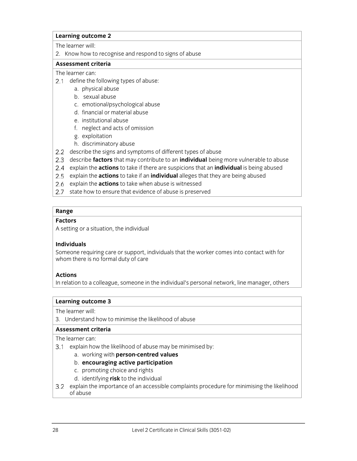#### **Learning outcome 2**

The learner will:

2. Know how to recognise and respond to signs of abuse

#### **Assessment criteria**

#### The learner can:

- 2.1 define the following types of abuse:
	- a. physical abuse
	- b. sexual abuse
	- c. emotional/psychological abuse
	- d. financial or material abuse
	- e. institutional abuse
	- f. neglect and acts of omission
	- g. exploitation
	- h. discriminatory abuse
- 2.2 describe the signs and symptoms of different types of abuse
- describe **factors** that may contribute to an **individual** being more vulnerable to abuse
- explain the **actions** to take if there are suspicions that an **individual** is being abused
- explain the **actions** to take if an **individual** alleges that they are being abused
- 2.6 explain the **actions** to take when abuse is witnessed
- 2.7 state how to ensure that evidence of abuse is preserved

## **Range**

#### **Factors**

A setting or a situation, the individual

### **Individuals**

Someone requiring care or support, individuals that the worker comes into contact with for whom there is no formal duty of care

### **Actions**

In relation to a colleague, someone in the individual's personal network, line manager, others

#### **Learning outcome 3**

The learner will:

3. Understand how to minimise the likelihood of abuse

### **Assessment criteria**

- 3.1 explain how the likelihood of abuse may be minimised by:
	- a. working with **person-centred values**
	- b. **encouraging active participation**
	- c. promoting choice and rights
	- d. identifying **risk** to the individual
- 3.2 explain the importance of an accessible complaints procedure for minimising the likelihood of abuse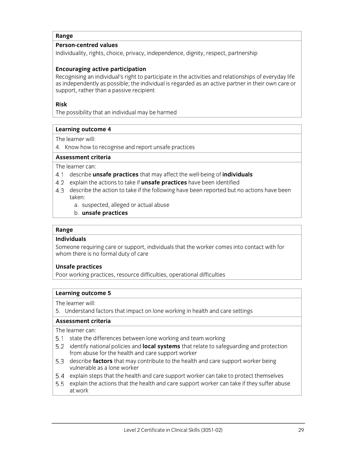#### **Person-centred values**

Individuality, rights, choice, privacy, independence, dignity, respect, partnership

### **Encouraging active participation**

Recognising an individual's right to participate in the activities and relationships of everyday life as independently as possible; the individual is regarded as an active partner in their own care or support, rather than a passive recipient

### **Risk**

The possibility that an individual may be harmed

#### **Learning outcome 4**

The learner will:

4. Know how to recognise and report unsafe practices

#### **Assessment criteria**

The learner can:

- describe **unsafe practices** that may affect the well-being of **individuals**
- explain the actions to take if **unsafe practices** have been identified
- 4.3 describe the action to take if the following have been reported but no actions have been taken:
	- a. suspected, alleged or actual abuse
	- b. **unsafe practices**

#### **Range**

#### **Individuals**

Someone requiring care or support, individuals that the worker comes into contact with for whom there is no formal duty of care

#### **Unsafe practices**

Poor working practices, resource difficulties, operational difficulties

#### **Learning outcome 5**

The learner will:

5. Understand factors that impact on lone working in health and care settings

#### **Assessment criteria**

- 5.1 state the differences between lone working and team working
- identify national policies and **local systems** that relate to safeguarding and protection from abuse for the health and care support worker
- describe **factors** that may contribute to the health and care support worker being vulnerable as a lone worker
- 5.4 explain steps that the health and care support worker can take to protect themselves
- 5.5 explain the actions that the health and care support worker can take if they suffer abuse at work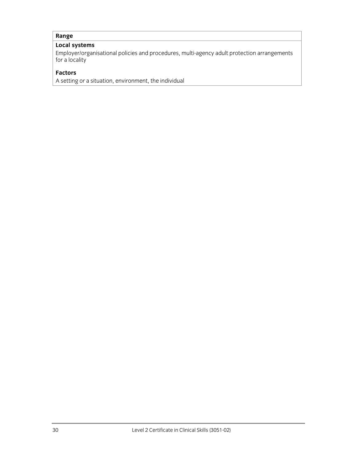## **Local systems**

Employer/organisational policies and procedures, multi-agency adult protection arrangements for a locality

#### **Factors**

A setting or a situation, environment, the individual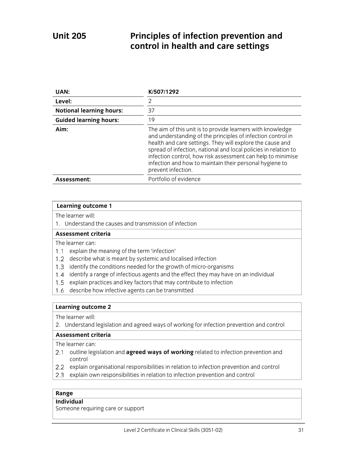## **Unit 205 Principles of infection prevention and control in health and care settings**

| UAN:                            | K/507/1292                                                                                                                                                                                                                                                                                                                                                                                                |
|---------------------------------|-----------------------------------------------------------------------------------------------------------------------------------------------------------------------------------------------------------------------------------------------------------------------------------------------------------------------------------------------------------------------------------------------------------|
| Level:                          | 2                                                                                                                                                                                                                                                                                                                                                                                                         |
| <b>Notional learning hours:</b> | 37                                                                                                                                                                                                                                                                                                                                                                                                        |
| <b>Guided learning hours:</b>   | 19                                                                                                                                                                                                                                                                                                                                                                                                        |
| Aim:                            | The aim of this unit is to provide learners with knowledge<br>and understanding of the principles of infection control in<br>health and care settings. They will explore the cause and<br>spread of infection, national and local policies in relation to<br>infection control, how risk assessment can help to minimise<br>infection and how to maintain their personal hygiene to<br>prevent infection. |
| Assessment:                     | Portfolio of evidence                                                                                                                                                                                                                                                                                                                                                                                     |

|  | <b>Learning outcome 1</b> |
|--|---------------------------|
|--|---------------------------|

The learner will:

1. Understand the causes and transmission of infection

### **Assessment criteria**

The learner can:

- 1.1 explain the meaning of the term 'infection'
- 1.2 describe what is meant by systemic and localised infection
- 1.3 identify the conditions needed for the growth of micro-organisms
- 1.4 identify a range of infectious agents and the effect they may have on an individual
- 1.5 explain practices and key factors that may contribute to infection
- 1.6 describe how infective agents can be transmitted

## **Learning outcome 2**

The learner will:

2. Understand legislation and agreed ways of working for infection prevention and control

#### **Assessment criteria**

- The learner can:
- 2.1 outline legislation and **agreed ways of working** related to infection prevention and control
- 2.2 explain organisational responsibilities in relation to infection prevention and control
- 2.3 explain own responsibilities in relation to infection prevention and control

#### **Range**

#### **Individual**

Someone requiring care or support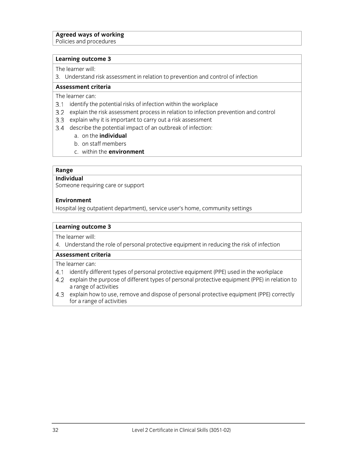#### **Agreed ways of working**

Policies and procedures

#### **Learning outcome 3**

The learner will:

3. Understand risk assessment in relation to prevention and control of infection

#### **Assessment criteria**

The learner can:

- 3.1 identify the potential risks of infection within the workplace
- 3.2 explain the risk assessment process in relation to infection prevention and control
- 3.3 explain why it is important to carry out a risk assessment
- 3.4 describe the potential impact of an outbreak of infection:
	- a. on the **individual**
	- b. on staff members
	- c. within the **environment**

#### **Range**

#### **Individual**

Someone requiring care or support

#### **Environment**

Hospital (eg outpatient department), service user's home, community settings

#### **Learning outcome 3**

The learner will:

4. Understand the role of personal protective equipment in reducing the risk of infection

#### **Assessment criteria**

- 4.1 identify different types of personal protective equipment (PPE) used in the workplace
- 4.2 explain the purpose of different types of personal protective equipment (PPE) in relation to a range of activities
- 4.3 explain how to use, remove and dispose of personal protective equipment (PPE) correctly for a range of activities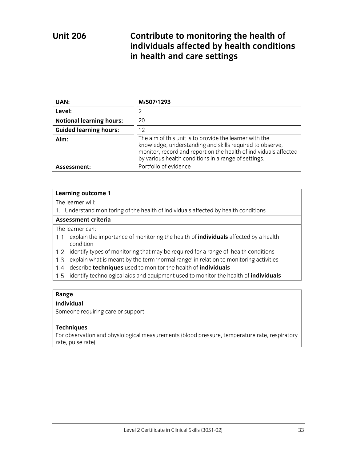## **Unit 206 Contribute to monitoring the health of individuals affected by health conditions in health and care settings**

| UAN:                            | M/507/1293                                                                                                                                                                                                                                      |
|---------------------------------|-------------------------------------------------------------------------------------------------------------------------------------------------------------------------------------------------------------------------------------------------|
| Level:                          | っ                                                                                                                                                                                                                                               |
| <b>Notional learning hours:</b> | 20                                                                                                                                                                                                                                              |
| <b>Guided learning hours:</b>   | 12                                                                                                                                                                                                                                              |
| Aim:                            | The aim of this unit is to provide the learner with the<br>knowledge, understanding and skills required to observe,<br>monitor, record and report on the health of individuals affected<br>by various health conditions in a range of settings. |
| Assessment:                     | Portfolio of evidence                                                                                                                                                                                                                           |

#### **Learning outcome 1**

The learner will:

1. Understand monitoring of the health of individuals affected by health conditions

#### **Assessment criteria**

The learner can:

- explain the importance of monitoring the health of **individuals** affected by a health condition
- 1.2 identify types of monitoring that may be required for a range of health conditions
- 1.3 explain what is meant by the term 'normal range' in relation to monitoring activities
- describe **techniques** used to monitor the health of **individuals**
- identify technological aids and equipment used to monitor the health of **individuals**

#### **Range**

#### **Individual**

Someone requiring care or support

#### **Techniques**

For observation and physiological measurements (blood pressure, temperature rate, respiratory rate, pulse rate)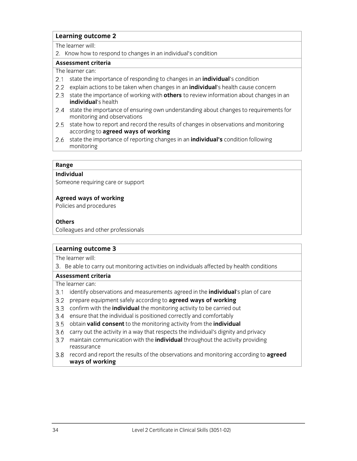#### **Learning outcome 2**

The learner will:

2. Know how to respond to changes in an individual's condition

#### **Assessment criteria**

### The learner can:

- state the importance of responding to changes in an **individual**'s condition
- explain actions to be taken when changes in an **individual**'s health cause concern
- 2.3 state the importance of working with **others** to review information about changes in an **individual**'s health
- 2.4 state the importance of ensuring own understanding about changes to requirements for monitoring and observations
- 2.5 state how to report and record the results of changes in observations and monitoring according to **agreed ways of working**
- state the importance of reporting changes in an **individual's** condition following monitoring

#### **Range**

#### **Individual**

Someone requiring care or support

#### **Agreed ways of working**

Policies and procedures

#### **Others**

Colleagues and other professionals

#### **Learning outcome 3**

The learner will:

3. Be able to carry out monitoring activities on individuals affected by health conditions

#### **Assessment criteria**

- identify observations and measurements agreed in the **individual**'s plan of care
- prepare equipment safely according to **agreed ways of working**
- confirm with the **individual** the monitoring activity to be carried out
- 3.4 ensure that the individual is positioned correctly and comfortably
- obtain **valid consent** to the monitoring activity from the **individual**
- 3.6 carry out the activity in a way that respects the individual's dignity and privacy
- maintain communication with the **individual** throughout the activity providing reassurance
- record and report the results of the observations and monitoring according to **agreed ways of working**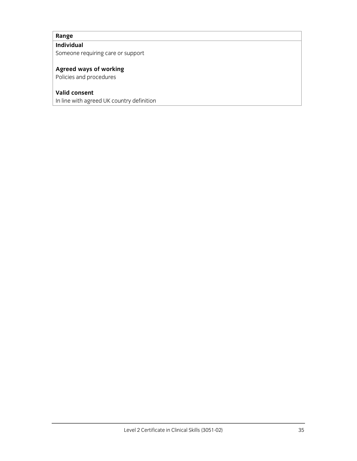## **Individual**

Someone requiring care or support

## **Agreed ways of working**

Policies and procedures

## **Valid consent**

In line with agreed UK country definition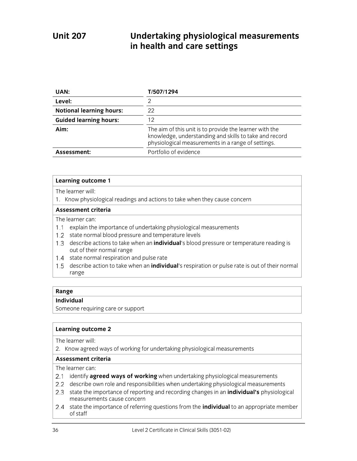## **Unit 207 Undertaking physiological measurements in health and care settings**

| UAN:                            | T/507/1294                                                                                                                                                              |
|---------------------------------|-------------------------------------------------------------------------------------------------------------------------------------------------------------------------|
| Level:                          |                                                                                                                                                                         |
| <b>Notional learning hours:</b> | 22                                                                                                                                                                      |
| <b>Guided learning hours:</b>   | 12                                                                                                                                                                      |
| Aim:                            | The aim of this unit is to provide the learner with the<br>knowledge, understanding and skills to take and record<br>physiological measurements in a range of settings. |
| Assessment:                     | Portfolio of evidence                                                                                                                                                   |

#### **Learning outcome 1**

The learner will:

1. Know physiological readings and actions to take when they cause concern

#### **Assessment criteria**

The learner can:

- 1.1 explain the importance of undertaking physiological measurements
- 1.2 state normal blood pressure and temperature levels
- describe actions to take when an **individual**'s blood pressure or temperature reading is out of their normal range
- 1.4 state normal respiration and pulse rate
- describe action to take when an **individual**'s respiration or pulse rate is out of their normal range

#### **Range**

#### **Individual**

Someone requiring care or support

#### **Learning outcome 2**

The learner will:

2. Know agreed ways of working for undertaking physiological measurements

#### **Assessment criteria**

- 2.1 identify **agreed ways of working** when undertaking physiological measurements
- 2.2 describe own role and responsibilities when undertaking physiological measurements
- state the importance of reporting and recording changes in an **individual's** physiological measurements cause concern
- 2.4 state the importance of referring questions from the **individual** to an appropriate member of staff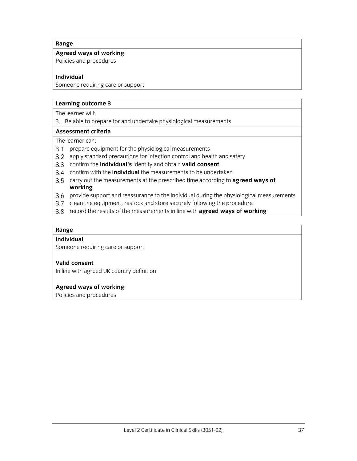## **Agreed ways of working**

Policies and procedures

## **Individual**

Someone requiring care or support

## **Learning outcome 3**

The learner will:

3. Be able to prepare for and undertake physiological measurements

#### **Assessment criteria**

The learner can:

- 3.1 prepare equipment for the physiological measurements
- 3.2 apply standard precautions for infection control and health and safety
- confirm the **individual's** identity and obtain **valid consent**
- confirm with the **individual** the measurements to be undertaken
- carry out the measurements at the prescribed time according to **agreed ways of working**
- 3.6 provide support and reassurance to the individual during the physiological measurements
- 3.7 clean the equipment, restock and store securely following the procedure
- record the results of the measurements in line with **agreed ways of working**

## **Range**

## **Individual**

Someone requiring care or support

## **Valid consent**

In line with agreed UK country definition

## **Agreed ways of working**

Policies and procedures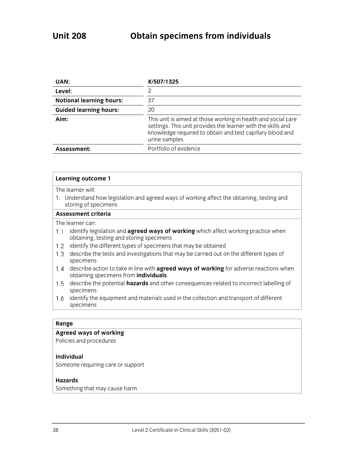| UAN:                            | K/507/1325                                                                                                                                                                                                   |
|---------------------------------|--------------------------------------------------------------------------------------------------------------------------------------------------------------------------------------------------------------|
| Level:                          | 2                                                                                                                                                                                                            |
| <b>Notional learning hours:</b> | 37                                                                                                                                                                                                           |
| <b>Guided learning hours:</b>   | 20                                                                                                                                                                                                           |
| Aim:                            | This unit is aimed at those working in health and social care<br>settings. This unit provides the learner with the skills and<br>knowledge required to obtain and test capillary blood and<br>urine samples. |
| Assessment:                     | Portfolio of evidence                                                                                                                                                                                        |

The learner will:

1. Understand how legislation and agreed ways of working affect the obtaining, testing and storing of specimens

#### **Assessment criteria**

The learner can:

- 1.1 identify legislation and **agreed ways of working** which affect working practice when obtaining, testing and storing specimens
- 1.2 identify the different types of specimens that may be obtained
- 1.3 describe the tests and investigations that may be carried out on the different types of specimens
- describe action to take in line with **agreed ways of working** for adverse reactions when obtaining specimens from **individuals**
- describe the potential **hazards** and other consequences related to incorrect labelling of specimens
- 1.6 identify the equipment and materials used in the collection and transport of different specimens

#### **Range**

### **Agreed ways of working**

Policies and procedures

#### **Individual**

Someone requiring care or support

## **Hazards**

Something that may cause harm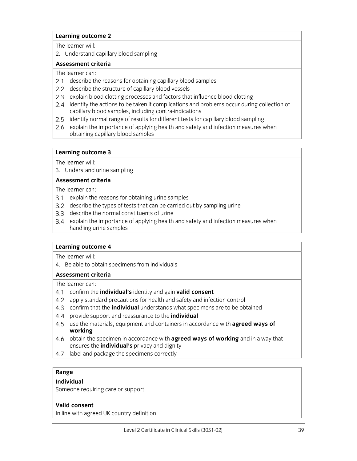The learner will:

2. Understand capillary blood sampling

#### **Assessment criteria**

The learner can:

- 2.1 describe the reasons for obtaining capillary blood samples
- 2.2 describe the structure of capillary blood vessels
- 2.3 explain blood clotting processes and factors that influence blood clotting
- 2.4 identify the actions to be taken if complications and problems occur during collection of capillary blood samples, including contra-indications
- 2.5 identify normal range of results for different tests for capillary blood sampling
- 2.6 explain the importance of applying health and safety and infection measures when obtaining capillary blood samples

## **Learning outcome 3**

The learner will:

3. Understand urine sampling

#### **Assessment criteria**

#### The learner can:

- 3.1 explain the reasons for obtaining urine samples
- 3.2 describe the types of tests that can be carried out by sampling urine
- 3.3 describe the normal constituents of urine
- explain the importance of applying health and safety and infection measures when handling urine samples

## **Learning outcome 4**

The learner will:

4. Be able to obtain specimens from individuals

#### **Assessment criteria**

The learner can:

- confirm the **individual's** identity and gain **valid consent**
- apply standard precautions for health and safety and infection control
- confirm that the **individual** understands what specimens are to be obtained
- provide support and reassurance to the **individual**
- 4.5 use the materials, equipment and containers in accordance with **agreed ways of working**
- obtain the specimen in accordance with **agreed ways of working** and in a way that ensures the **individual's** privacy and dignity
- 4.7 label and package the specimens correctly

## **Range**

## **Individual**

Someone requiring care or support

## **Valid consent**

In line with agreed UK country definition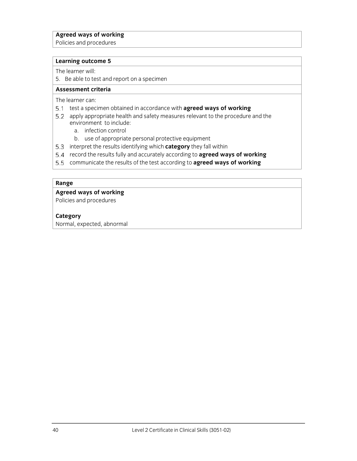## **Agreed ways of working**

Policies and procedures

#### **Learning outcome 5**

The learner will:

5. Be able to test and report on a specimen

#### **Assessment criteria**

The learner can:

- 5.1 test a specimen obtained in accordance with **agreed ways of working**
- 5.2 apply appropriate health and safety measures relevant to the procedure and the environment to include:
	- a. infection control
	- b. use of appropriate personal protective equipment
- 5.3 interpret the results identifying which **category** they fall within
- record the results fully and accurately according to **agreed ways of working**
- communicate the results of the test according to **agreed ways of working**

## **Range**

## **Agreed ways of working**

Policies and procedures

## **Category**

Normal, expected, abnormal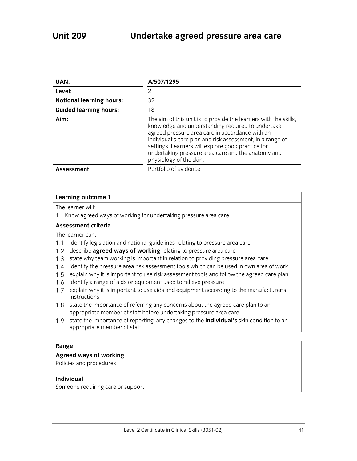| UAN:                            | A/507/1295                                                                                                                                                                                                                                                                                                                                                                  |
|---------------------------------|-----------------------------------------------------------------------------------------------------------------------------------------------------------------------------------------------------------------------------------------------------------------------------------------------------------------------------------------------------------------------------|
| Level:                          | 2                                                                                                                                                                                                                                                                                                                                                                           |
| <b>Notional learning hours:</b> | 32                                                                                                                                                                                                                                                                                                                                                                          |
| <b>Guided learning hours:</b>   | 18                                                                                                                                                                                                                                                                                                                                                                          |
| Aim:                            | The aim of this unit is to provide the learners with the skills,<br>knowledge and understanding required to undertake<br>agreed pressure area care in accordance with an<br>individual's care plan and risk assessment, in a range of<br>settings. Learners will explore good practice for<br>undertaking pressure area care and the anatomy and<br>physiology of the skin. |
| Assessment:                     | Portfolio of evidence                                                                                                                                                                                                                                                                                                                                                       |

The learner will:

1. Know agreed ways of working for undertaking pressure area care

#### **Assessment criteria**

The learner can:

- 1.1 identify legislation and national guidelines relating to pressure area care
- describe **agreed ways of working** relating to pressure area care
- 1.3 state why team working is important in relation to providing pressure area care
- 1.4 identify the pressure area risk assessment tools which can be used in own area of work
- 1.5 explain why it is important to use risk assessment tools and follow the agreed care plan
- 1.6 identify a range of aids or equipment used to relieve pressure
- 1.7 explain why it is important to use aids and equipment according to the manufacturer's instructions
- 1.8 state the importance of referring any concerns about the agreed care plan to an appropriate member of staff before undertaking pressure area care
- state the importance of reporting any changes to the **individual's** skin condition to an appropriate member of staff

## **Range**

## **Agreed ways of working**

Policies and procedures

#### **Individual**

Someone requiring care or support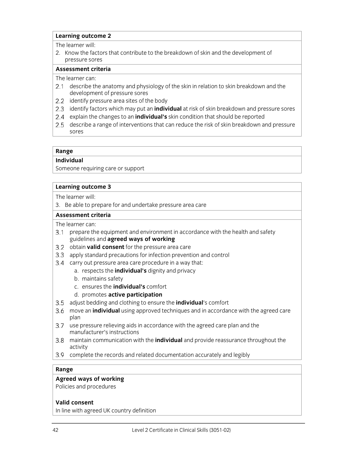The learner will:

2. Know the factors that contribute to the breakdown of skin and the development of pressure sores

#### **Assessment criteria**

The learner can:

- 2.1 describe the anatomy and physiology of the skin in relation to skin breakdown and the development of pressure sores
- 2.2 identify pressure area sites of the body
- 2.3 identify factors which may put an **individual** at risk of skin breakdown and pressure sores
- explain the changes to an **individual's** skin condition that should be reported
- 2.5 describe a range of interventions that can reduce the risk of skin breakdown and pressure sores

### **Range**

**Individual** 

Someone requiring care or support

## **Learning outcome 3**

The learner will:

3. Be able to prepare for and undertake pressure area care

#### **Assessment criteria**

The learner can:

- 3.1 prepare the equipment and environment in accordance with the health and safety guidelines and **agreed ways of working**
- 3.2 obtain **valid consent** for the pressure area care
- 3.3 apply standard precautions for infection prevention and control
- 3.4 carry out pressure area care procedure in a way that:
	- a. respects the **individual's** dignity and privacy
	- b. maintains safety
	- c. ensures the **individual's** comfort
	- d. promotes **active participation**
- adjust bedding and clothing to ensure the **individual**'s comfort
- move an **individual** using approved techniques and in accordance with the agreed care plan
- 3.7 use pressure relieving aids in accordance with the agreed care plan and the manufacturer's instructions
- maintain communication with the **individual** and provide reassurance throughout the activity
- complete the records and related documentation accurately and legibly

## **Range**

## **Agreed ways of working**

Policies and procedures

## **Valid consent**

In line with agreed UK country definition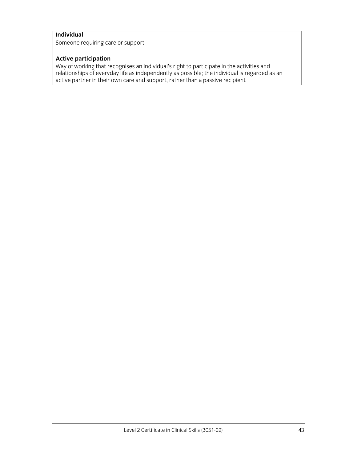## **Individual**

Someone requiring care or support

## **Active participation**

Way of working that recognises an individual's right to participate in the activities and relationships of everyday life as independently as possible; the individual is regarded as an active partner in their own care and support, rather than a passive recipient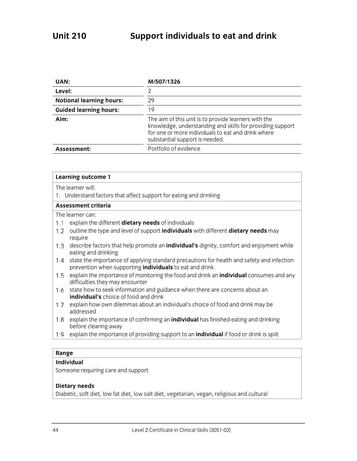| UAN:                            | M/507/1326                                                                                                                                                                                                |
|---------------------------------|-----------------------------------------------------------------------------------------------------------------------------------------------------------------------------------------------------------|
| Level:                          | 2                                                                                                                                                                                                         |
| <b>Notional learning hours:</b> | 29                                                                                                                                                                                                        |
| <b>Guided learning hours:</b>   | 19                                                                                                                                                                                                        |
| Aim:                            | The aim of this unit is to provide learners with the<br>knowledge, understanding and skills for providing support<br>for one or more individuals to eat and drink where<br>substantial support is needed. |
| Assessment:                     | Portfolio of evidence                                                                                                                                                                                     |

| <b>Learning outcome 1</b>                                                                                                                                          |
|--------------------------------------------------------------------------------------------------------------------------------------------------------------------|
| The learner will:                                                                                                                                                  |
| 1. Understand factors that affect support for eating and drinking                                                                                                  |
| Assessment criteria                                                                                                                                                |
| The learner can:                                                                                                                                                   |
| explain the different <b>dietary needs</b> of individuals<br>1.1                                                                                                   |
| outline the type and level of support individuals with different dietary needs may<br>1.2<br>require                                                               |
| describe factors that help promote an <b>individual's</b> dignity, comfort and enjoyment while<br>1.3<br>eating and drinking                                       |
| state the importance of applying standard precautions for health and safety and infection<br>1.4<br>prevention when supporting <i>individuals</i> to eat and drink |
| explain the importance of monitoring the food and drink an <b>individual</b> consumes and any<br>1.5<br>difficulties they may encounter                            |
| state how to seek information and guidance when there are concerns about an<br>1.6<br>individual's choice of food and drink                                        |
| explain how own dilemmas about an individual's choice of food and drink may be<br>1.7<br>addressed                                                                 |
| explain the importance of confirming an <i>individual</i> has finished eating and drinking<br>1.8<br>before clearing away                                          |
| explain the importance of providing support to an <i>individual</i> if food or drink is spilt<br>1.9                                                               |
|                                                                                                                                                                    |
| Range                                                                                                                                                              |

# **Individual**

Someone requiring care and support

## **Dietary needs**

Diabetic, soft diet, low fat diet, low salt diet, vegetarian, vegan, religious and cultural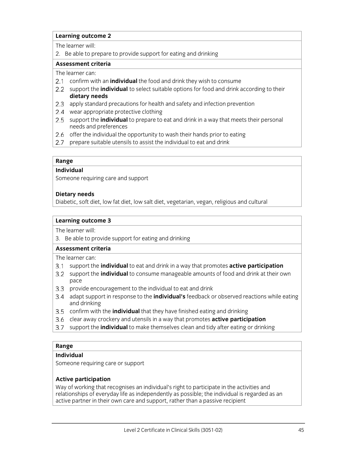The learner will:

2. Be able to prepare to provide support for eating and drinking

## **Assessment criteria**

The learner can:

- confirm with an **individual** the food and drink they wish to consume
- 2.2 support the **individual** to select suitable options for food and drink according to their **dietary needs**
- 2.3 apply standard precautions for health and safety and infection prevention
- 2.4 wear appropriate protective clothing
- 2.5 support the **individual** to prepare to eat and drink in a way that meets their personal needs and preferences
- 2.6 offer the individual the opportunity to wash their hands prior to eating
- 2.7 prepare suitable utensils to assist the individual to eat and drink

#### **Range**

## **Individual**

Someone requiring care and support

## **Dietary needs**

Diabetic, soft diet, low fat diet, low salt diet, vegetarian, vegan, religious and cultural

## **Learning outcome 3**

The learner will:

3. Be able to provide support for eating and drinking

## **Assessment criteria**

The learner can:

- support the **individual** to eat and drink in a way that promotes **active participation**
- support the **individual** to consume manageable amounts of food and drink at their own pace
- 3.3 provide encouragement to the individual to eat and drink
- adapt support in response to the **individual's** feedback or observed reactions while eating and drinking
- confirm with the **individual** that they have finished eating and drinking
- clear away crockery and utensils in a way that promotes **active participation**
- support the **individual** to make themselves clean and tidy after eating or drinking

## **Range**

## **Individual**

Someone requiring care or support

## **Active participation**

Way of working that recognises an individual's right to participate in the activities and relationships of everyday life as independently as possible; the individual is regarded as an active partner in their own care and support, rather than a passive recipient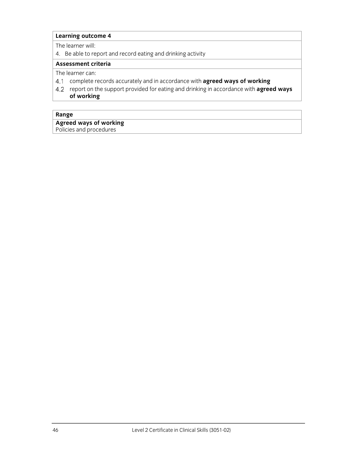The learner will:

4. Be able to report and record eating and drinking activity

## **Assessment criteria**

The learner can:

- complete records accurately and in accordance with **agreed ways of working**
- report on the support provided for eating and drinking in accordance with **agreed ways of working**

## **Range**

Policies and procedures

**Agreed ways of working** 

46 Level 2 Certificate in Clinical Skills (3051-02)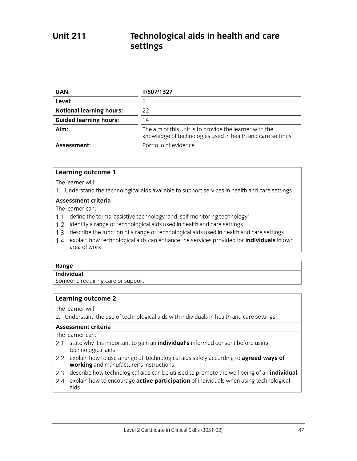# **Unit 211 Technological aids in health and care settings**

| UAN:                            | T/507/1327                                                                                                             |
|---------------------------------|------------------------------------------------------------------------------------------------------------------------|
| Level:                          |                                                                                                                        |
| <b>Notional learning hours:</b> | 22                                                                                                                     |
| <b>Guided learning hours:</b>   | 14                                                                                                                     |
| Aim:                            | The aim of this unit is to provide the learner with the<br>knowledge of technologies used in health and care settings. |
| Assessment:                     | Portfolio of evidence                                                                                                  |

#### **Learning outcome 1**

#### The learner will:

1. Understand the technological aids available to support services in health and care settings

## **Assessment criteria**

## The learner can:

- 1.1 define the terms 'assistive technology 'and 'self-monitoring technology'
- 1.2 identify a range of technological aids used in health and care settings
- 1.3 describe the function of a range of technological aids used in health and care settings
- explain how technological aids can enhance the services provided for **individuals** in own area of work

#### **Range**

#### **Individual**

Someone requiring care or support

## **Learning outcome 2**

#### The learner will

2. Understand the use of technological aids with individuals in health and care settings

## **Assessment criteria**

#### The learner can:

- 2.1 state why it is important to gain an *individual's* informed consent before using technological aids
- explain how to use a range of technological aids safely according to **agreed ways of working** and manufacturer's instructions
- describe how technological aids can be utilised to promote the well-being of an **individual**
- explain how to encourage **active participation** of individuals when using technological aids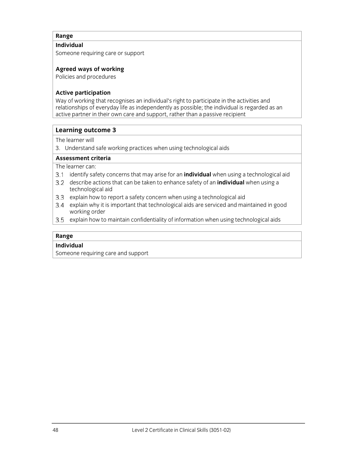## **Individual**

Someone requiring care or support

## **Agreed ways of working**

Policies and procedures

## **Active participation**

Way of working that recognises an individual's right to participate in the activities and relationships of everyday life as independently as possible; the individual is regarded as an active partner in their own care and support, rather than a passive recipient

## **Learning outcome 3**

The learner will

3. Understand safe working practices when using technological aids

## **Assessment criteria**

The learner can:

- identify safety concerns that may arise for an **individual** when using a technological aid
- describe actions that can be taken to enhance safety of an **individual** when using a technological aid
- 3.3 explain how to report a safety concern when using a technological aid
- explain why it is important that technological aids are serviced and maintained in good working order
- 3.5 explain how to maintain confidentiality of information when using technological aids

## **Range**

## **Individual**

Someone requiring care and support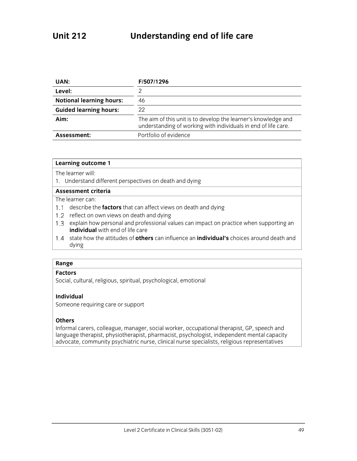| UAN:                            | F/507/1296                                                                                                                       |
|---------------------------------|----------------------------------------------------------------------------------------------------------------------------------|
| Level:                          |                                                                                                                                  |
| <b>Notional learning hours:</b> | 46                                                                                                                               |
| <b>Guided learning hours:</b>   | 22                                                                                                                               |
| Aim:                            | The aim of this unit is to develop the learner's knowledge and<br>understanding of working with individuals in end of life care. |
| Assessment:                     | Portfolio of evidence                                                                                                            |

The learner will:

1. Understand different perspectives on death and dying

### **Assessment criteria**

## The learner can:

- 1.1 describe the **factors** that can affect views on death and dying
- 1.2 reflect on own views on death and dying
- 1.3 explain how personal and professional values can impact on practice when supporting an **individual** with end of life care
- state how the attitudes of **others** can influence an **individual's** choices around death and dying

#### **Range**

#### **Factors**

Social, cultural, religious, spiritual, psychological, emotional

#### **Individual**

Someone requiring care or support

## **Others**

Informal carers, colleague, manager, social worker, occupational therapist, GP, speech and language therapist, physiotherapist, pharmacist, psychologist, independent mental capacity advocate, community psychiatric nurse, clinical nurse specialists, religious representatives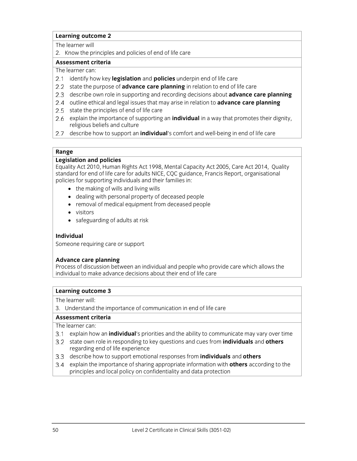The learner will

2. Know the principles and policies of end of life care

## **Assessment criteria**

The learner can:

- identify how key **legislation** and **policies** underpin end of life care
- 2.2 state the purpose of **advance care planning** in relation to end of life care
- describe own role in supporting and recording decisions about **advance care planning**
- 2.4 outline ethical and legal issues that may arise in relation to **advance care planning**
- 2.5 state the principles of end of life care
- explain the importance of supporting an **individual** in a way that promotes their dignity, religious beliefs and culture
- describe how to support an **individual**'s comfort and well-being in end of life care

## **Range**

## **Legislation and policies**

Equality Act 2010, Human Rights Act 1998, Mental Capacity Act 2005, Care Act 2014, Quality standard for end of life care for adults NICE, CQC guidance, Francis Report, organisational policies for supporting individuals and their families in:

- the making of wills and living wills
- dealing with personal property of deceased people
- removal of medical equipment from deceased people
- visitors
- safeguarding of adults at risk

## **Individual**

Someone requiring care or support

## **Advance care planning**

Process of discussion between an individual and people who provide care which allows the individual to make advance decisions about their end of life care

## **Learning outcome 3**

The learner will:

3. Understand the importance of communication in end of life care

## **Assessment criteria**

The learner can:

- explain how an **individual**'s priorities and the ability to communicate may vary over time
- state own role in responding to key questions and cues from **individuals** and **others**  regarding end of life experience
- describe how to support emotional responses from **individuals** and **others**
- explain the importance of sharing appropriate information with **others** according to the principles and local policy on confidentiality and data protection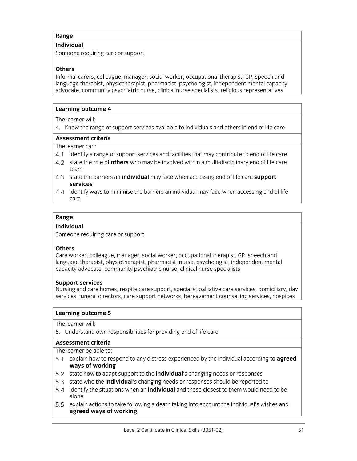## **Individual**

Someone requiring care or support

## **Others**

Informal carers, colleague, manager, social worker, occupational therapist, GP, speech and language therapist, physiotherapist, pharmacist, psychologist, independent mental capacity advocate, community psychiatric nurse, clinical nurse specialists, religious representatives

## **Learning outcome 4**

The learner will:

4. Know the range of support services available to individuals and others in end of life care

#### **Assessment criteria**

The learner can:

- identify a range of support services and facilities that may contribute to end of life care
- state the role of **others** who may be involved within a multi-disciplinary end of life care team
- state the barriers an **individual** may face when accessing end of life care **support services**
- identify ways to minimise the barriers an individual may face when accessing end of life care

## **Range**

#### **Individual**

Someone requiring care or support

## **Others**

Care worker, colleague, manager, social worker, occupational therapist, GP, speech and language therapist, physiotherapist, pharmacist, nurse, psychologist, independent mental capacity advocate, community psychiatric nurse, clinical nurse specialists

## **Support services**

Nursing and care homes, respite care support, specialist palliative care services, domiciliary, day services, funeral directors, care support networks, bereavement counselling services, hospices

#### **Learning outcome 5**

The learner will:

5. Understand own responsibilities for providing end of life care

## **Assessment criteria**

The learner be able to:

- explain how to respond to any distress experienced by the individual according to **agreed ways of working**
- 5.2 state how to adapt support to the **individual**'s changing needs or responses
- state who the **individual**'s changing needs or responses should be reported to
- identify the situations when an **individual** and those closest to them would need to be alone
- 5.5 explain actions to take following a death taking into account the individual's wishes and **agreed ways of working**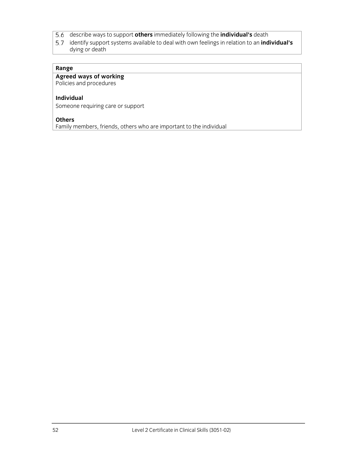- describe ways to support **others** immediately following the **individual's** death
- identify support systems available to deal with own feelings in relation to an **individual's**  dying or death

## **Agreed ways of working**

Policies and procedures

### **Individual**

Someone requiring care or support

#### **Others**

Family members, friends, others who are important to the individual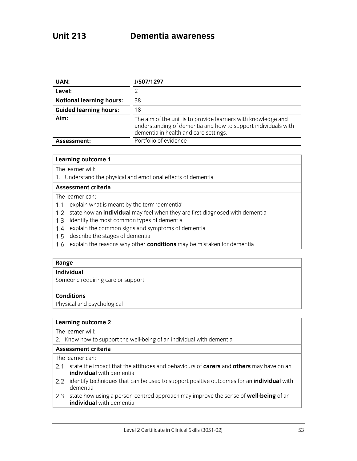| UAN:                            | J/507/1297                                                                                                                                                              |
|---------------------------------|-------------------------------------------------------------------------------------------------------------------------------------------------------------------------|
| Level:                          |                                                                                                                                                                         |
| <b>Notional learning hours:</b> | 38                                                                                                                                                                      |
| <b>Guided learning hours:</b>   | 18                                                                                                                                                                      |
| Aim:                            | The aim of the unit is to provide learners with knowledge and<br>understanding of dementia and how to support individuals with<br>dementia in health and care settings. |
| Assessment:                     | Portfolio of evidence                                                                                                                                                   |

The learner will:

1. Understand the physical and emotional effects of dementia

## **Assessment criteria**

The learner can:

- 1.1 explain what is meant by the term 'dementia'
- 1.2 state how an *individual* may feel when they are first diagnosed with dementia
- 1.3 identify the most common types of dementia
- 1.4 explain the common signs and symptoms of dementia
- 1.5 describe the stages of dementia
- 1.6 explain the reasons why other **conditions** may be mistaken for dementia

#### **Range**

#### **Individual**

Someone requiring care or support

## **Conditions**

Physical and psychological

#### **Learning outcome 2**

The learner will:

2. Know how to support the well-being of an individual with dementia

#### **Assessment criteria**

The learner can:

- state the impact that the attitudes and behaviours of **carers** and **others** may have on an **individual** with dementia
- identify techniques that can be used to support positive outcomes for an **individual** with dementia
- 2.3 state how using a person-centred approach may improve the sense of **well-being** of an **individual** with dementia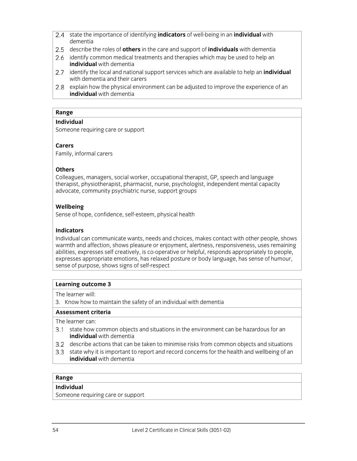- state the importance of identifying **indicators** of well-being in an **individual** with dementia
- describe the roles of **others** in the care and support of **individuals** with dementia
- 2.6 identify common medical treatments and therapies which may be used to help an **individual** with dementia
- identify the local and national support services which are available to help an **individual** with dementia and their carers
- 2.8 explain how the physical environment can be adjusted to improve the experience of an **individual** with dementia

## **Individual**

Someone requiring care or support

## **Carers**

Family, informal carers

## **Others**

Colleagues, managers, social worker, occupational therapist, GP, speech and language therapist, physiotherapist, pharmacist, nurse, psychologist, independent mental capacity advocate, community psychiatric nurse, support groups

## **Wellbeing**

Sense of hope, confidence, self-esteem, physical health

## **Indicators**

Individual can communicate wants, needs and choices, makes contact with other people, shows warmth and affection, shows pleasure or enjoyment, alertness, responsiveness, uses remaining abilities, expresses self creatively, is co-operative or helpful, responds appropriately to people, expresses appropriate emotions, has relaxed posture or body language, has sense of humour, sense of purpose, shows signs of self-respect

## **Learning outcome 3**

The learner will:

3. Know how to maintain the safety of an individual with dementia

## **Assessment criteria**

The learner can:

- 3.1 state how common objects and situations in the environment can be hazardous for an **individual** with dementia
- describe actions that can be taken to minimise risks from common objects and situations
- state why it is important to report and record concerns for the health and wellbeing of an **individual** with dementia

## **Range**

## **Individual**

Someone requiring care or support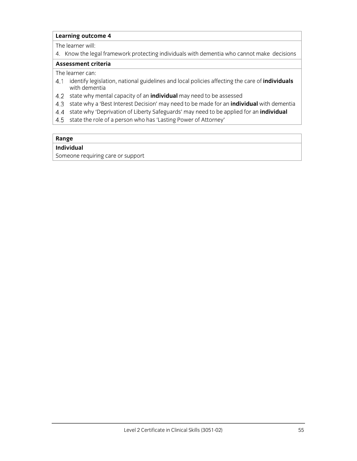The learner will:

4. Know the legal framework protecting individuals with dementia who cannot make decisions

#### **Assessment criteria**

The learner can:

- identify legislation, national guidelines and local policies affecting the care of **individuals** with dementia
- state why mental capacity of an **individual** may need to be assessed
- state why a 'Best Interest Decision' may need to be made for an **individual** with dementia
- state why 'Deprivation of Liberty Safeguards' may need to be applied for an **individual**
- 4.5 state the role of a person who has 'Lasting Power of Attorney'

## **Range**

## **Individual**

Someone requiring care or support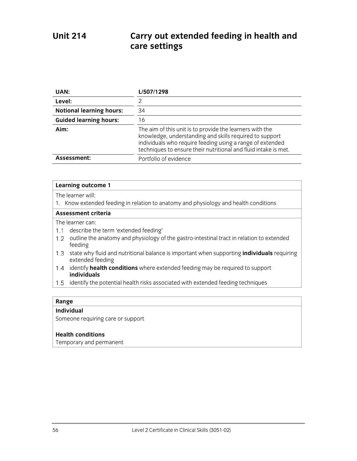# **Unit 214 Carry out extended feeding in health and care settings**

| UAN:                            | L/507/1298                                                                                                                                                                                                                                          |
|---------------------------------|-----------------------------------------------------------------------------------------------------------------------------------------------------------------------------------------------------------------------------------------------------|
| Level:                          | 2                                                                                                                                                                                                                                                   |
| <b>Notional learning hours:</b> | 34                                                                                                                                                                                                                                                  |
| <b>Guided learning hours:</b>   | 16                                                                                                                                                                                                                                                  |
| Aim:                            | The aim of this unit is to provide the learners with the<br>knowledge, understanding and skills required to support<br>individuals who require feeding using a range of extended<br>techniques to ensure their nutritional and fluid intake is met. |
| Assessment:                     | Portfolio of evidence                                                                                                                                                                                                                               |

#### **Learning outcome 1**

The learner will:

1. Know extended feeding in relation to anatomy and physiology and health conditions

## **Assessment criteria**

The learner can:

- 1.1 describe the term 'extended feeding'
- 1.2 outline the anatomy and physiology of the gastro-intestinal tract in relation to extended feeding
- state why fluid and nutritional balance is important when supporting **individuals** requiring extended feeding
- identify **health conditions** where extended feeding may be required to support **individuals**
- 1.5 identify the potential health risks associated with extended feeding techniques

#### **Range**

### **Individual**

Someone requiring care or support

#### **Health conditions**

Temporary and permanent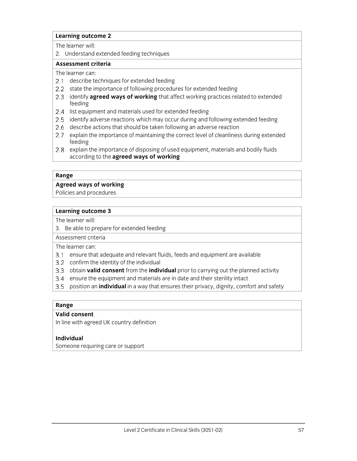The learner will:

2. Understand extended feeding techniques

#### **Assessment criteria**

The learner can:

- 2.1 describe techniques for extended feeding
- 2.2 state the importance of following procedures for extended feeding
- 2.3 identify **agreed ways of working** that affect working practices related to extended feeding
- 2.4 list equipment and materials used for extended feeding
- 2.5 identify adverse reactions which may occur during and following extended feeding
- 2.6 describe actions that should be taken following an adverse reaction
- 2.7 explain the importance of maintaining the correct level of cleanliness during extended feeding
- 2.8 explain the importance of disposing of used equipment, materials and bodily fluids according to the **agreed ways of working**

#### **Range**

## **Agreed ways of working**

Policies and procedures

## **Learning outcome 3**

The learner will:

3. Be able to prepare for extended feeding

Assessment criteria The learner can:

- ensure that adequate and relevant fluids, feeds and equipment are available
- 3.2 confirm the identity of the individual
- obtain **valid consent** from the **individual** prior to carrying out the planned activity
- 3.4 ensure the equipment and materials are in date and their sterility intact
- position an **individual** in a way that ensures their privacy, dignity, comfort and safety

#### **Range**

## **Valid consent**

In line with agreed UK country definition

## **Individual**

Someone requiring care or support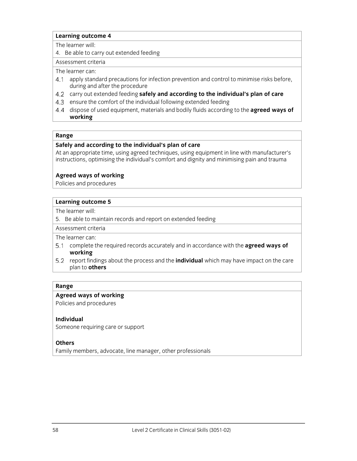The learner will:

4. Be able to carry out extended feeding

## Assessment criteria

The learner can:

- 4.1 apply standard precautions for infection prevention and control to minimise risks before, during and after the procedure
- carry out extended feeding **safely and according to the individual's plan of care**
- 4.3 ensure the comfort of the individual following extended feeding
- dispose of used equipment, materials and bodily fluids according to the **agreed ways of working**

## **Range**

## **Safely and according to the individual's plan of care**

At an appropriate time, using agreed techniques, using equipment in line with manufacturer's instructions, optimising the individual's comfort and dignity and minimising pain and trauma

## **Agreed ways of working**

Policies and procedures

## **Learning outcome 5**

The learner will:

5. Be able to maintain records and report on extended feeding

Assessment criteria

The learner can:

- complete the required records accurately and in accordance with the **agreed ways of working**
- 5.2 report findings about the process and the **individual** which may have impact on the care plan to **others**

## **Range**

## **Agreed ways of working**

Policies and procedures

## **Individual**

Someone requiring care or support

## **Others**

Family members, advocate, line manager, other professionals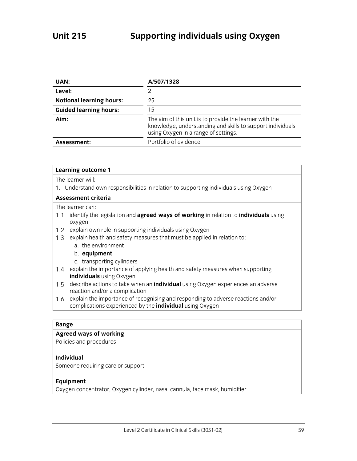| UAN:                            | A/507/1328                                                                                                                                                    |
|---------------------------------|---------------------------------------------------------------------------------------------------------------------------------------------------------------|
| Level:                          |                                                                                                                                                               |
| <b>Notional learning hours:</b> | 25                                                                                                                                                            |
| <b>Guided learning hours:</b>   | 15                                                                                                                                                            |
| Aim:                            | The aim of this unit is to provide the learner with the<br>knowledge, understanding and skills to support individuals<br>using Oxygen in a range of settings. |
| Assessment:                     | Portfolio of evidence                                                                                                                                         |

| Learning outcome 1                                                                                                                                         |
|------------------------------------------------------------------------------------------------------------------------------------------------------------|
| The learner will:                                                                                                                                          |
| 1. Understand own responsibilities in relation to supporting individuals using Oxygen                                                                      |
| Assessment criteria                                                                                                                                        |
| The learner can:                                                                                                                                           |
| identify the legislation and agreed ways of working in relation to individuals using<br>1.1<br>oxygen                                                      |
| explain own role in supporting individuals using Oxygen<br>1.2                                                                                             |
| explain health and safety measures that must be applied in relation to:<br>1.3                                                                             |
| a. the environment                                                                                                                                         |
| b. equipment                                                                                                                                               |
| c. transporting cylinders                                                                                                                                  |
| explain the importance of applying health and safety measures when supporting<br>1.4                                                                       |
| individuals using Oxygen                                                                                                                                   |
| describe actions to take when an <b>individual</b> using Oxygen experiences an adverse<br>1.5<br>reaction and/or a complication                            |
| explain the importance of recognising and responding to adverse reactions and/or<br>1.6<br>complications experienced by the <i>individual</i> using Oxygen |

## **Agreed ways of working**

Policies and procedures

## **Individual**

Someone requiring care or support

## **Equipment**

Oxygen concentrator, Oxygen cylinder, nasal cannula, face mask, humidifier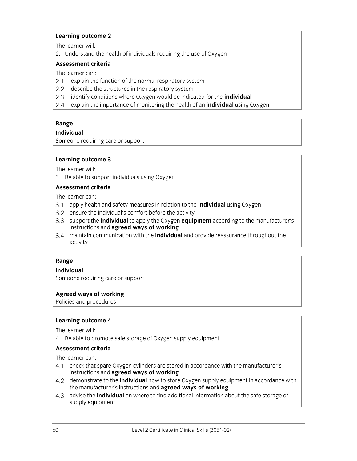The learner will:

2. Understand the health of individuals requiring the use of Oxygen

### **Assessment criteria**

The learner can:

- 2.1 explain the function of the normal respiratory system
- 2.2 describe the structures in the respiratory system
- identify conditions where Oxygen would be indicated for the **individual**
- explain the importance of monitoring the health of an **individual** using Oxygen

## **Range**

**Individual** 

Someone requiring care or support

#### **Learning outcome 3**

The learner will:

3. Be able to support individuals using Oxygen

## **Assessment criteria**

The learner can:

- apply health and safety measures in relation to the **individual** using Oxygen
- 3.2 ensure the individual's comfort before the activity
- support the **individual** to apply the Oxygen **equipment** according to the manufacturer's instructions and **agreed ways of working**
- maintain communication with the **individual** and provide reassurance throughout the activity

## **Range**

## **Individual**

Someone requiring care or support

## **Agreed ways of working**

Policies and procedures

## **Learning outcome 4**

The learner will:

4. Be able to promote safe storage of Oxygen supply equipment

## **Assessment criteria**

The learner can:

- 4.1 check that spare Oxygen cylinders are stored in accordance with the manufacturer's instructions and **agreed ways of working**
- demonstrate to the **individual** how to store Oxygen supply equipment in accordance with the manufacturer's instructions and **agreed ways of working**
- advise the **individual** on where to find additional information about the safe storage of supply equipment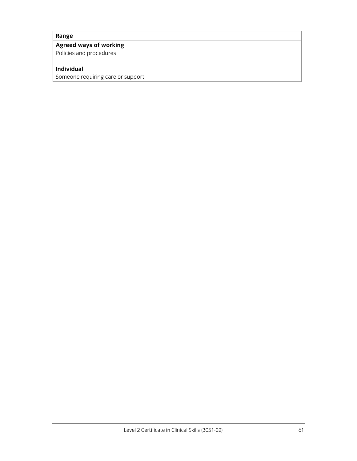#### **Agreed ways of working**

Policies and procedures

## **Individual**

Someone requiring care or support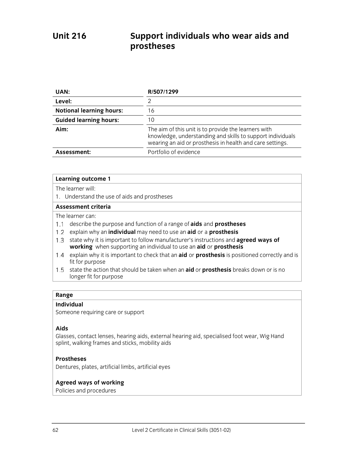# **Unit 216 Support individuals who wear aids and prostheses**

| UAN:                            | R/507/1299                                                                                                                                                                      |
|---------------------------------|---------------------------------------------------------------------------------------------------------------------------------------------------------------------------------|
| Level:                          |                                                                                                                                                                                 |
| <b>Notional learning hours:</b> | 16                                                                                                                                                                              |
| <b>Guided learning hours:</b>   |                                                                                                                                                                                 |
| Aim:                            | The aim of this unit is to provide the learners with<br>knowledge, understanding and skills to support individuals<br>wearing an aid or prosthesis in health and care settings. |
| Assessment:                     | Portfolio of evidence                                                                                                                                                           |

#### **Learning outcome 1**

The learner will:

1. Understand the use of aids and prostheses

## **Assessment criteria**

The learner can:

- describe the purpose and function of a range of **aids** and **prostheses**
- explain why an **individual** may need to use an **aid** or a **prosthesis**
- 1.3 state why it is important to follow manufacturer's instructions and **agreed ways of working** when supporting an individual to use an **aid** or **prosthesis**
- explain why it is important to check that an **aid** or **prosthesis** is positioned correctly and is fit for purpose
- state the action that should be taken when an **aid** or **prosthesis** breaks down or is no longer fit for purpose

## **Range**

## **Individual**

Someone requiring care or support

## **Aids**

Glasses, contact lenses, hearing aids, external hearing aid, specialised foot wear, Wig Hand splint, walking frames and sticks, mobility aids

## **Prostheses**

Dentures, plates, artificial limbs, artificial eyes

## **Agreed ways of working**

Policies and procedures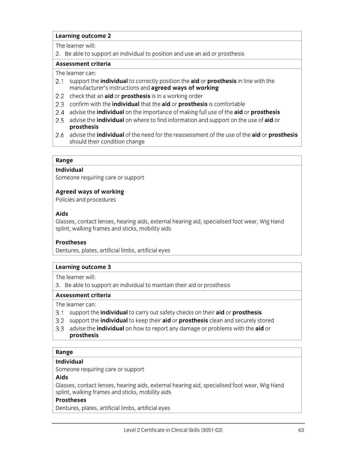The learner will:

2. Be able to support an individual to position and use an aid or prosthesis

#### **Assessment criteria**

The learner can:

- support the **individual** to correctly position the **aid** or **prosthesis** in line with the manufacturer's instructions and **agreed ways of working**
- 2.2 check that an **aid** or **prosthesis** is in a working order
- confirm with the **individual** that the **aid** or **prosthesis** is comfortable
- advise the **individual** on the importance of making full use of the **aid** or **prosthesis**
- advise the **individual** on where to find information and support on the use of **aid** or **prosthesis**
- advise the **individual** of the need for the reassessment of the use of the **aid** or **prosthesis** should their condition change

## **Range**

## **Individual**

Someone requiring care or support

## **Agreed ways of working**

Policies and procedures

## **Aids**

Glasses, contact lenses, hearing aids, external hearing aid, specialised foot wear, Wig Hand splint, walking frames and sticks, mobility aids

## **Prostheses**

Dentures, plates, artificial limbs, artificial eyes

## **Learning outcome 3**

The learner will:

3. Be able to support an individual to maintain their aid or prosthesis

## **Assessment criteria**

The learner can:

- support the **individual** to carry out safety checks on their **aid** or **prosthesis**
- support the **individual** to keep their **aid** or **prosthesis** clean and securely stored
- advise the **individual** on how to report any damage or problems with the **aid** or **prosthesis**

## **Range**

## **Individual**

Someone requiring care or support

## **Aids**

Glasses, contact lenses, hearing aids, external hearing aid, specialised foot wear, Wig Hand splint, walking frames and sticks, mobility aids

## **Prostheses**

Dentures, plates, artificial limbs, artificial eyes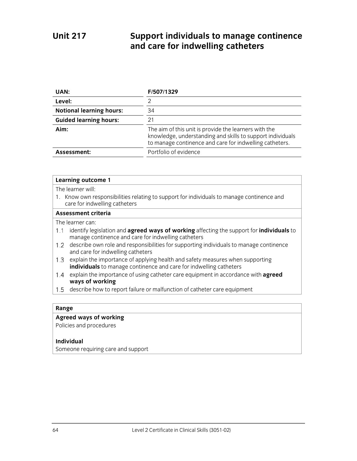# **Unit 217 Support individuals to manage continence and care for indwelling catheters**

| UAN:                            | F/507/1329                                                                                                                                                                     |
|---------------------------------|--------------------------------------------------------------------------------------------------------------------------------------------------------------------------------|
| Level:                          |                                                                                                                                                                                |
| <b>Notional learning hours:</b> | 34                                                                                                                                                                             |
| <b>Guided learning hours:</b>   | 21                                                                                                                                                                             |
| Aim:                            | The aim of this unit is provide the learners with the<br>knowledge, understanding and skills to support individuals<br>to manage continence and care for indwelling catheters. |
| Assessment:                     | Portfolio of evidence                                                                                                                                                          |

#### **Learning outcome 1**

The learner will:

1. Know own responsibilities relating to support for individuals to manage continence and care for indwelling catheters

### **Assessment criteria**

The learner can:

- identify legislation and **agreed ways of working** affecting the support for **individuals** to manage continence and care for indwelling catheters
- 1.2 describe own role and responsibilities for supporting individuals to manage continence and care for indwelling catheters
- 1.3 explain the importance of applying health and safety measures when supporting **individuals** to manage continence and care for indwelling catheters
- explain the importance of using catheter care equipment in accordance with **agreed ways of working**
- 1.5 describe how to report failure or malfunction of catheter care equipment

## **Range**

## **Agreed ways of working**

Policies and procedures

#### **Individual**

Someone requiring care and support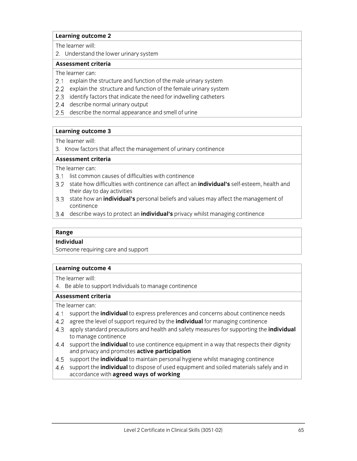The learner will:

2. Understand the lower urinary system

#### **Assessment criteria**

The learner can:

- 2.1 explain the structure and function of the male urinary system
- 2.2 explain the structure and function of the female urinary system
- 2.3 identify factors that indicate the need for indwelling catheters
- 2.4 describe normal urinary output
- 2.5 describe the normal appearance and smell of urine

## **Learning outcome 3**

The learner will:

3. Know factors that affect the management of urinary continence

## **Assessment criteria**

The learner can:

- 3.1 list common causes of difficulties with continence
- state how difficulties with continence can affect an **individual's** self-esteem, health and their day to day activities
- state how an **individual's** personal beliefs and values may affect the management of continence
- describe ways to protect an **individual's** privacy whilst managing continence

## **Range**

## **Individual**

Someone requiring care and support

## **Learning outcome 4**

The learner will:

4. Be able to support Individuals to manage continence

## **Assessment criteria**

The learner can:

- support the **individual** to express preferences and concerns about continence needs
- agree the level of support required by the **individual** for managing continence
- apply standard precautions and health and safety measures for supporting the **individual**  to manage continence
- support the **individual** to use continence equipment in a way that respects their dignity and privacy and promotes **active participation**
- support the **individual** to maintain personal hygiene whilst managing continence
- support the **individual** to dispose of used equipment and soiled materials safely and in accordance with **agreed ways of working**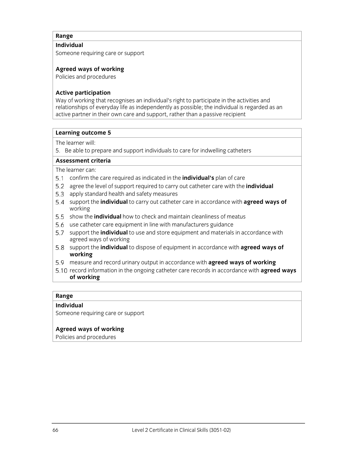## **Individual**

Someone requiring care or support

## **Agreed ways of working**

Policies and procedures

## **Active participation**

Way of working that recognises an individual's right to participate in the activities and relationships of everyday life as independently as possible; the individual is regarded as an active partner in their own care and support, rather than a passive recipient

## **Learning outcome 5**

The learner will:

5. Be able to prepare and support individuals to care for indwelling catheters

## **Assessment criteria**

The learner can:

- confirm the care required as indicated in the **individual's** plan of care
- agree the level of support required to carry out catheter care with the **individual**
- 5.3 apply standard health and safety measures
- support the **individual** to carry out catheter care in accordance with **agreed ways of**  working
- 5.5 show the **individual** how to check and maintain cleanliness of meatus
- 5.6 use catheter care equipment in line with manufacturers guidance
- support the **individual** to use and store equipment and materials in accordance with agreed ways of working
- support the **individual** to dispose of equipment in accordance with **agreed ways of working**
- measure and record urinary output in accordance with **agreed ways of working**
- 5.10 record information in the ongoing catheter care records in accordance with **agreed ways of working**

## **Range**

## **Individual**

Someone requiring care or support

## **Agreed ways of working**

Policies and procedures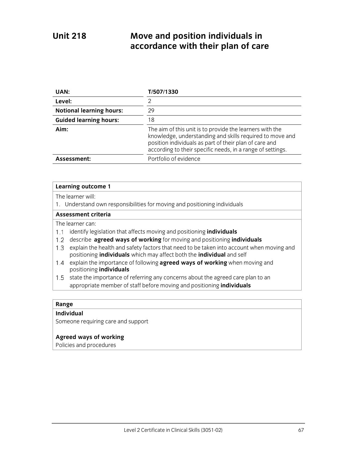# **Unit 218 Move and position individuals in accordance with their plan of care**

| UAN:                            | T/507/1330                                                                                                                                                                                                                                   |
|---------------------------------|----------------------------------------------------------------------------------------------------------------------------------------------------------------------------------------------------------------------------------------------|
| Level:                          | っ                                                                                                                                                                                                                                            |
| <b>Notional learning hours:</b> | 29                                                                                                                                                                                                                                           |
| <b>Guided learning hours:</b>   | 18                                                                                                                                                                                                                                           |
| Aim:                            | The aim of this unit is to provide the learners with the<br>knowledge, understanding and skills required to move and<br>position individuals as part of their plan of care and<br>according to their specific needs, in a range of settings. |
| Assessment:                     | Portfolio of evidence                                                                                                                                                                                                                        |

### **Learning outcome 1**

The learner will:

1. Understand own responsibilities for moving and positioning individuals

## **Assessment criteria**

The learner can:

- 1.1 identify legislation that affects moving and positioning *individuals*
- describe **agreed ways of working** for moving and positioning **individuals**
- 1.3 explain the health and safety factors that need to be taken into account when moving and positioning **individuals** which may affect both the **individual** and self
- explain the importance of following **agreed ways of working** when moving and positioning **individuals**
- 1.5 state the importance of referring any concerns about the agreed care plan to an appropriate member of staff before moving and positioning **individuals**

#### **Range**

## **Individual**

Someone requiring care and support

## **Agreed ways of working**

Policies and procedures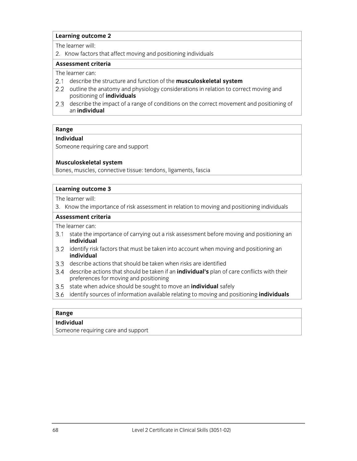#### The learner will:

2. Know factors that affect moving and positioning individuals

## **Assessment criteria**

The learner can:

- describe the structure and function of the **musculoskeletal system**
- 2.2 outline the anatomy and physiology considerations in relation to correct moving and positioning of **individuals**
- 2.3 describe the impact of a range of conditions on the correct movement and positioning of an **individual**

## **Range**

## **Individual**

Someone requiring care and support

## **Musculoskeletal system**

Bones, muscles, connective tissue: tendons, ligaments, fascia

#### **Learning outcome 3**

The learner will:

3. Know the importance of risk assessment in relation to moving and positioning individuals

#### **Assessment criteria**

The learner can:

- 3.1 state the importance of carrying out a risk assessment before moving and positioning an **individual**
- 3.2 identify risk factors that must be taken into account when moving and positioning an **individual**
- describe actions that should be taken when risks are identified
- describe actions that should be taken if an **individual's** plan of care conflicts with their preferences for moving and positioning
- state when advice should be sought to move an **individual** safely
- identify sources of information available relating to moving and positioning **individuals**

## **Range**

## **Individual**

Someone requiring care and support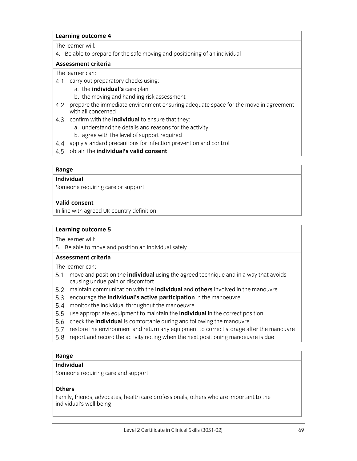#### The learner will:

4. Be able to prepare for the safe moving and positioning of an individual

#### **Assessment criteria**

#### The learner can:

- 4.1 carry out preparatory checks using:
	- a. the **individual's** care plan
	- b. the moving and handling risk assessment
- 4.2 prepare the immediate environment ensuring adequate space for the move in agreement with all concerned
- confirm with the **individual** to ensure that they:
	- a. understand the details and reasons for the activity
	- b. agree with the level of support required
- 4.4 apply standard precautions for infection prevention and control
- obtain the **individual's valid consent**

#### **Range**

## **Individual**

Someone requiring care or support

## **Valid consent**

In line with agreed UK country definition

#### **Learning outcome 5**

The learner will:

5. Be able to move and position an individual safely

#### **Assessment criteria**

The learner can:

- move and position the **individual** using the agreed technique and in a way that avoids causing undue pain or discomfort
- maintain communication with the **individual** and **others** involved in the manouvre
- encourage the **individual's active participation** in the manoeuvre
- monitor the individual throughout the manoeuvre
- use appropriate equipment to maintain the **individual** in the correct position
- 5.6 check the **individual** is comfortable during and following the manouvre
- 5.7 restore the environment and return any equipment to correct storage after the manouvre
- 5.8 report and record the activity noting when the next positioning manoeuvre is due

## **Range**

## **Individual**

Someone requiring care and support

## **Others**

Family, friends, advocates, health care professionals, others who are important to the individual's well-being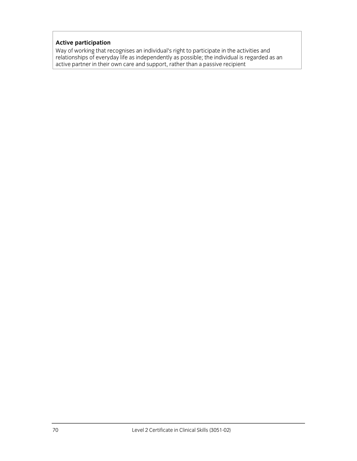## **Active participation**

Way of working that recognises an individual's right to participate in the activities and relationships of everyday life as independently as possible; the individual is regarded as an active partner in their own care and support, rather than a passive recipient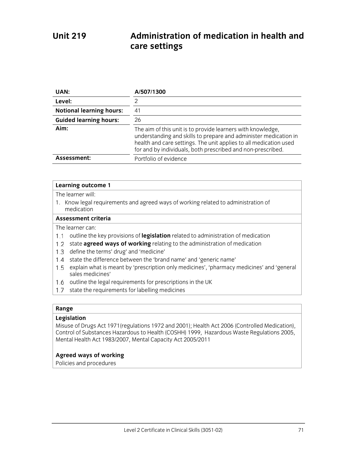# **Unit 219 Administration of medication in health and care settings**

| UAN:                            | A/507/1300                                                                                                                                                                                                                                                          |
|---------------------------------|---------------------------------------------------------------------------------------------------------------------------------------------------------------------------------------------------------------------------------------------------------------------|
| Level:                          | 2                                                                                                                                                                                                                                                                   |
| <b>Notional learning hours:</b> | 41                                                                                                                                                                                                                                                                  |
| <b>Guided learning hours:</b>   | 26                                                                                                                                                                                                                                                                  |
| Aim:                            | The aim of this unit is to provide learners with knowledge,<br>understanding and skills to prepare and administer medication in<br>health and care settings. The unit applies to all medication used<br>for and by individuals, both prescribed and non-prescribed. |
| Assessment:                     | Portfolio of evidence                                                                                                                                                                                                                                               |

#### **Learning outcome 1**

The learner will:

1. Know legal requirements and agreed ways of working related to administration of medication

#### **Assessment criteria**

The learner can:

- 1.1 outline the key provisions of legislation related to administration of medication
- 1.2 state **agreed ways of working** relating to the administration of medication
- 1.3 define the terms' drug' and 'medicine'
- 1.4 state the difference between the 'brand name' and 'generic name'
- 1.5 explain what is meant by 'prescription only medicines', 'pharmacy medicines' and 'general sales medicines'
- 1.6 outline the legal requirements for prescriptions in the UK
- 1.7 state the requirements for labelling medicines

#### **Range**

#### **Legislation**

Misuse of Drugs Act 1971(regulations 1972 and 2001); Health Act 2006 (Controlled Medication), Control of Substances Hazardous to Health (COSHH) 1999, Hazardous Waste Regulations 2005, Mental Health Act 1983/2007, Mental Capacity Act 2005/2011

## **Agreed ways of working**

Policies and procedures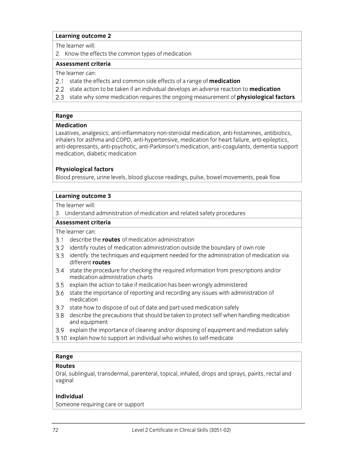The learner will:

2. Know the effects the common types of medication

#### **Assessment criteria**

The learner can:

- 2.1 state the effects and common side effects of a range of **medication**
- state action to be taken if an individual develops an adverse reaction to **medication**
- state why some medication requires the ongoing measurement of **physiological factors**

## **Range**

#### **Medication**

Laxatives, analgesics; anti-inflammatory non-steroidal medication, anti-histamines, antibiotics, inhalers for asthma and COPD, anti-hypertensive, medication for heart failure, anti-epileptics, anti-depressants, anti-psychotic, anti-Parkinson's medication, anti-coagulants, dementia support medication, diabetic medication

## **Physiological factors**

Blood pressure, urine levels, blood glucose readings, pulse, bowel movements, peak flow

#### **Learning outcome 3**

The learner will:

3. Understand administration of medication and related safety procedures

#### **Assessment criteria**

The learner can:

- describe the **routes** of medication administration
- 3.2 identify routes of medication administration outside the boundary of own role
- 3.3 identify the techniques and equipment needed for the administration of medication via different **routes**
- 3.4 state the procedure for checking the required information from prescriptions and/or medication administration charts
- 3.5 explain the action to take if medication has been wrongly administered
- state the importance of reporting and recording any issues with administration of medication
- 3.7 state how to dispose of out of date and part-used medication safely
- describe the precautions that should be taken to protect self when handling medication and equipment
- 3.9 explain the importance of cleaning and/or disposing of equipment and mediation safely
- 3.10 explain how to support an individual who wishes to self-medicate

## **Range**

## **Routes**

Oral, sublingual, transdermal, parenteral, topical, inhaled, drops and sprays, paints, rectal and vaginal

## **Individual**

Someone requiring care or support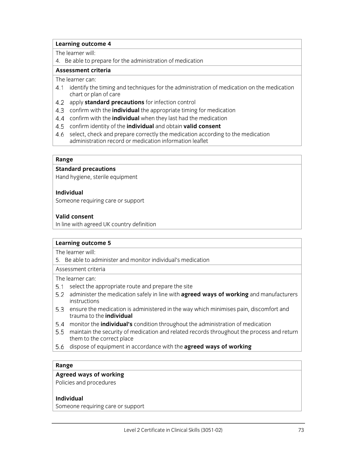The learner will:

4. Be able to prepare for the administration of medication

## **Assessment criteria**

The learner can:

- identify the timing and techniques for the administration of medication on the medication chart or plan of care
- apply **standard precautions** for infection control
- confirm with the **individual** the appropriate timing for medication
- confirm with the **individual** when they last had the medication
- confirm identity of the **individual** and obtain **valid consent**
- 4.6 select, check and prepare correctly the medication according to the medication administration record or medication information leaflet

#### **Range**

#### **Standard precautions**

Hand hygiene, sterile equipment

## **Individual**

Someone requiring care or support

#### **Valid consent**

In line with agreed UK country definition

#### **Learning outcome 5**

The learner will:

5. Be able to administer and monitor individual's medication

Assessment criteria

The learner can:

- 5.1 select the appropriate route and prepare the site
- administer the medication safely in line with **agreed ways of working** and manufacturers instructions
- 5.3 ensure the medication is administered in the way which minimises pain, discomfort and trauma to the **individual**
- monitor the **individual's** condition throughout the administration of medication
- maintain the security of medication and related records throughout the process and return them to the correct place
- dispose of equipment in accordance with the **agreed ways of working**

## **Range**

## **Agreed ways of working**

Policies and procedures

#### **Individual**

Someone requiring care or support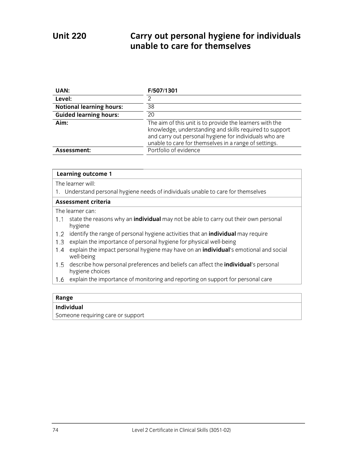# **Unit 220 Carry out personal hygiene for individuals unable to care for themselves**

| UAN:                            | F/507/1301                                                                                                                                                                                                                             |
|---------------------------------|----------------------------------------------------------------------------------------------------------------------------------------------------------------------------------------------------------------------------------------|
| Level:                          | っ                                                                                                                                                                                                                                      |
| <b>Notional learning hours:</b> | 38                                                                                                                                                                                                                                     |
| <b>Guided learning hours:</b>   | 20                                                                                                                                                                                                                                     |
| Aim:                            | The aim of this unit is to provide the learners with the<br>knowledge, understanding and skills required to support<br>and carry out personal hygiene for individuals who are<br>unable to care for themselves in a range of settings. |
| Assessment:                     | Portfolio of evidence                                                                                                                                                                                                                  |

## **Learning outcome 1**

The learner will:

1. Understand personal hygiene needs of individuals unable to care for themselves

## **Assessment criteria**

The learner can:

- 1.1 state the reasons why an *individual* may not be able to carry out their own personal hygiene
- identify the range of personal hygiene activities that an **individual** may require
- 1.3 explain the importance of personal hygiene for physical well-being
- explain the impact personal hygiene may have on an **individual**'s emotional and social well-being
- describe how personal preferences and beliefs can affect the **individual**'s personal hygiene choices
- 1.6 explain the importance of monitoring and reporting on support for personal care

#### **Range**

## **Individual**

Someone requiring care or support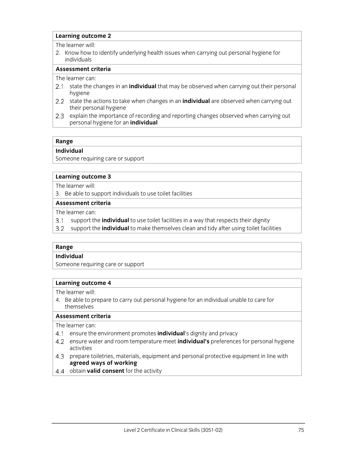The learner will:

2. Know how to identify underlying health issues when carrying out personal hygiene for individuals

## **Assessment criteria**

The learner can:

- 2.1 state the changes in an *individual* that may be observed when carrying out their personal hygiene
- state the actions to take when changes in an **individual** are observed when carrying out their personal hygiene
- 2.3 explain the importance of recording and reporting changes observed when carrying out personal hygiene for an **individual**

## **Range**

## **Individual**

Someone requiring care or support

#### **Learning outcome 3**

The learner will:

3. Be able to support individuals to use toilet facilities

## **Assessment criteria**

The learner can:

- $3.1$ support the **individual** to use toilet facilities in a way that respects their dignity
- $3.2$ support the **individual** to make themselves clean and tidy after using toilet facilities

## **Range**

## **Individual**

Someone requiring care or support

## **Learning outcome 4**

The learner will:

4. Be able to prepare to carry out personal hygiene for an individual unable to care for themselves

## **Assessment criteria**

The learner can:

- ensure the environment promotes **individual**'s dignity and privacy
- ensure water and room temperature meet **individual's** preferences for personal hygiene activities
- 4.3 prepare toiletries, materials, equipment and personal protective equipment in line with **agreed ways of working**
- 4.4 obtain **valid consent** for the activity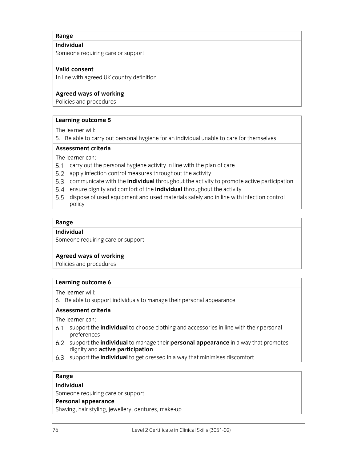## **Range**

## **Individual**

Someone requiring care or support

## **Valid consent**

In line with agreed UK country definition

## **Agreed ways of working**

Policies and procedures

## **Learning outcome 5**

The learner will:

5. Be able to carry out personal hygiene for an individual unable to care for themselves

#### **Assessment criteria**

The learner can:

- 5.1 carry out the personal hygiene activity in line with the plan of care
- 5.2 apply infection control measures throughout the activity
- communicate with the **individual** throughout the activity to promote active participation
- ensure dignity and comfort of the **individual** throughout the activity
- 5.5 dispose of used equipment and used materials safely and in line with infection control policy

#### **Range**

#### **Individual**

Someone requiring care or support

## **Agreed ways of working**

Policies and procedures

## **Learning outcome 6**

The learner will:

6. Be able to support individuals to manage their personal appearance

## **Assessment criteria**

The learner can:

- support the **individual** to choose clothing and accessories in line with their personal preferences
- support the **individual** to manage their **personal appearance** in a way that promotes dignity and **active participation**
- 6.3 support the *individual* to get dressed in a way that minimises discomfort

## **Range**

## **Individual**

Someone requiring care or support

## **Personal appearance**

Shaving, hair styling, jewellery, dentures, make-up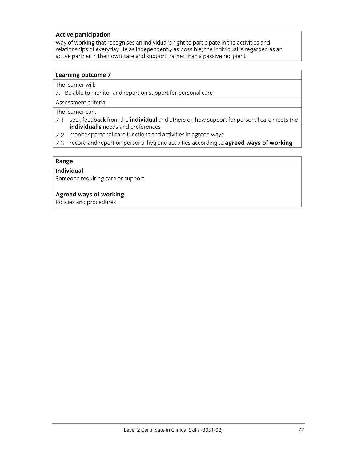## **Active participation**

Way of working that recognises an individual's right to participate in the activities and relationships of everyday life as independently as possible; the individual is regarded as an active partner in their own care and support, rather than a passive recipient

## **Learning outcome 7**

The learner will:

7. Be able to monitor and report on support for personal care

Assessment criteria

The learner can:

- seek feedback from the **individual** and others on how support for personal care meets the **individual's** needs and preferences
- 7.2 monitor personal care functions and activities in agreed ways
- 7.3 record and report on personal hygiene activities according to **agreed ways of working**

#### **Range**

#### **Individual**

Someone requiring care or support

## **Agreed ways of working**

Policies and procedures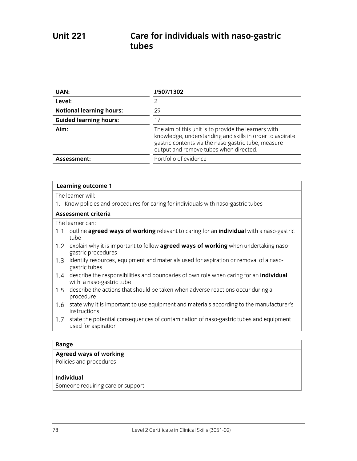| UAN:                            | J/507/1302                                                                                                                                                                                                        |
|---------------------------------|-------------------------------------------------------------------------------------------------------------------------------------------------------------------------------------------------------------------|
| Level:                          | っ                                                                                                                                                                                                                 |
| <b>Notional learning hours:</b> | 29                                                                                                                                                                                                                |
| <b>Guided learning hours:</b>   | 17                                                                                                                                                                                                                |
| Aim:                            | The aim of this unit is to provide the learners with<br>knowledge, understanding and skills in order to aspirate<br>gastric contents via the naso-gastric tube, measure<br>output and remove tubes when directed. |
| Assessment:                     | Portfolio of evidence                                                                                                                                                                                             |

The learner will:

1. Know policies and procedures for caring for individuals with naso-gastric tubes

#### **Assessment criteria**

The learner can:

- outline **agreed ways of working** relevant to caring for an **individual** with a naso-gastric tube
- 1.2 explain why it is important to follow **agreed ways of working** when undertaking nasogastric procedures
- 1.3 identify resources, equipment and materials used for aspiration or removal of a nasogastric tubes
- describe the responsibilities and boundaries of own role when caring for an **individual** with a naso-gastric tube
- describe the actions that should be taken when adverse reactions occur during a procedure
- 1.6 state why it is important to use equipment and materials according to the manufacturer's instructions
- 1.7 state the potential consequences of contamination of naso-gastric tubes and equipment used for aspiration

#### **Range**

## **Agreed ways of working**

Policies and procedures

#### **Individual**

Someone requiring care or support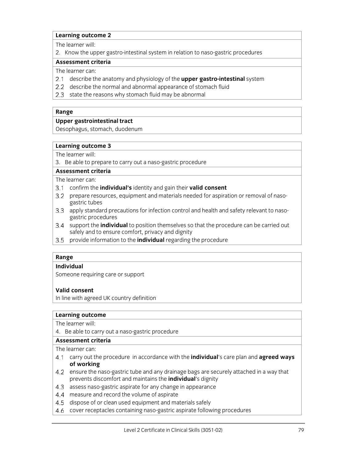The learner will:

2. Know the upper gastro-intestinal system in relation to naso-gastric procedures

## **Assessment criteria**

The learner can:

- describe the anatomy and physiology of the **upper gastro-intestinal** system
- 2.2 describe the normal and abnormal appearance of stomach fluid
- 2.3 state the reasons why stomach fluid may be abnormal

#### **Range**

## **Upper gastrointestinal tract**

Oesophagus, stomach, duodenum

#### **Learning outcome 3**

The learner will:

3. Be able to prepare to carry out a naso-gastric procedure

## **Assessment criteria**

The learner can:

- confirm the **individual's** identity and gain their **valid consent**
- 3.2 prepare resources, equipment and materials needed for aspiration or removal of nasogastric tubes
- 3.3 apply standard precautions for infection control and health and safety relevant to nasogastric procedures
- support the **individual** to position themselves so that the procedure can be carried out safely and to ensure comfort, privacy and dignity
- $3.5$ provide information to the **individual** regarding the procedure

## **Range**

## **Individual**

Someone requiring care or support

## **Valid consent**

In line with agreed UK country definition

#### **Learning outcome**

The learner will:

4. Be able to carry out a naso-gastric procedure

## **Assessment criteria**

The learner can:

- carry out the procedure in accordance with the **individual**'s care plan and **agreed ways of working**
- 4.2 ensure the naso-gastric tube and any drainage bags are securely attached in a way that prevents discomfort and maintains the **individual**'s dignity
- 4.3 assess naso-gastric aspirate for any change in appearance
- 4.4 measure and record the volume of aspirate
- 4.5 dispose of or clean used equipment and materials safely
- 4.6 cover receptacles containing naso-gastric aspirate following procedures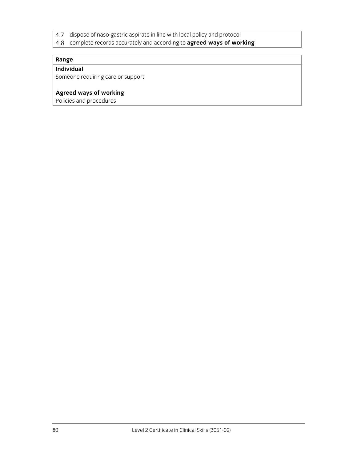- dispose of naso-gastric aspirate in line with local policy and protocol  $4.7$
- complete records accurately and according to **agreed ways of working**

## **Range**

# **Individual**

Someone requiring care or support

## **Agreed ways of working**

Policies and procedures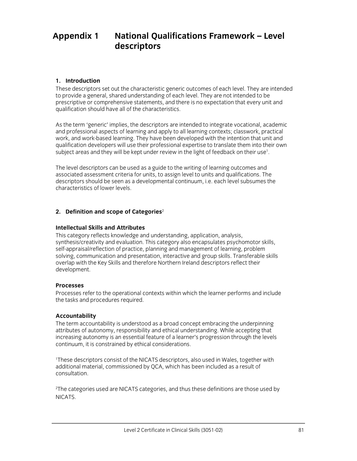# **Appendix 1 National Qualifications Framework – Level descriptors**

## **1. Introduction**

These descriptors set out the characteristic generic outcomes of each level. They are intended to provide a general, shared understanding of each level. They are not intended to be prescriptive or comprehensive statements, and there is no expectation that every unit and qualification should have all of the characteristics.

As the term 'generic' implies, the descriptors are intended to integrate vocational, academic and professional aspects of learning and apply to all learning contexts; classwork, practical work, and work-based learning. They have been developed with the intention that unit and qualification developers will use their professional expertise to translate them into their own subject areas and they will be kept under review in the light of feedback on their use $^{\rm 1}.$ 

The level descriptors can be used as a guide to the writing of learning outcomes and associated assessment criteria for units, to assign level to units and qualifications. The descriptors should be seen as a developmental continuum, i.e. each level subsumes the characteristics of lower levels.

## **2. Definition and scope of Categories**<sup>2</sup>

## **Intellectual Skills and Attributes**

This category reflects knowledge and understanding, application, analysis, synthesis/creativity and evaluation. This category also encapsulates psychomotor skills, self-appraisal/reflection of practice, planning and management of learning, problem solving, communication and presentation, interactive and group skills. Transferable skills overlap with the Key Skills and therefore Northern Ireland descriptors reflect their development.

## **Processes**

Processes refer to the operational contexts within which the learner performs and include the tasks and procedures required.

## **Accountability**

The term accountability is understood as a broad concept embracing the underpinning attributes of autonomy, responsibility and ethical understanding. While accepting that increasing autonomy is an essential feature of a learner's progression through the levels continuum, it is constrained by ethical considerations.

1 These descriptors consist of the NICATS descriptors, also used in Wales, together with additional material, commissioned by QCA, which has been included as a result of consultation.

2 The categories used are NICATS categories, and thus these definitions are those used by NICATS.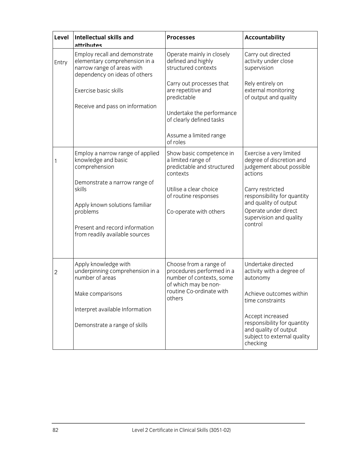| Level | <b>Intellectual skills and</b><br>attributes                                                                                                                       | <b>Processes</b>                                                                                                                              | <b>Accountability</b>                                                                                                                                                                                                             |
|-------|--------------------------------------------------------------------------------------------------------------------------------------------------------------------|-----------------------------------------------------------------------------------------------------------------------------------------------|-----------------------------------------------------------------------------------------------------------------------------------------------------------------------------------------------------------------------------------|
| Entry | Employ recall and demonstrate<br>elementary comprehension in a<br>narrow range of areas with<br>dependency on ideas of others                                      | Operate mainly in closely<br>defined and highly<br>structured contexts                                                                        | Carry out directed<br>activity under close<br>supervision                                                                                                                                                                         |
|       | Exercise basic skills<br>Receive and pass on information                                                                                                           | Carry out processes that<br>are repetitive and<br>predictable<br>Undertake the performance                                                    | Rely entirely on<br>external monitoring<br>of output and quality                                                                                                                                                                  |
|       |                                                                                                                                                                    | of clearly defined tasks<br>Assume a limited range<br>of roles                                                                                |                                                                                                                                                                                                                                   |
|       | Employ a narrow range of applied<br>knowledge and basic<br>comprehension                                                                                           | Show basic competence in<br>a limited range of<br>predictable and structured<br>contexts                                                      | Exercise a very limited<br>degree of discretion and<br>judgement about possible<br>actions                                                                                                                                        |
|       | Demonstrate a narrow range of<br>skills<br>Apply known solutions familiar<br>problems<br>Present and record information<br>from readily available sources          | Utilise a clear choice<br>of routine responses<br>Co-operate with others                                                                      | Carry restricted<br>responsibility for quantity<br>and quality of output<br>Operate under direct<br>supervision and quality<br>control                                                                                            |
| 2     | Apply knowledge with<br>underpinning comprehension in a<br>number of areas<br>Make comparisons<br>Interpret available Information<br>Demonstrate a range of skills | Choose from a range of<br>procedures performed in a<br>number of contexts, some<br>of which may be non-<br>routine Co-ordinate with<br>others | Undertake directed<br>activity with a degree of<br>autonomy<br>Achieve outcomes within<br>time constraints<br>Accept increased<br>responsibility for quantity<br>and quality of output<br>subject to external quality<br>checking |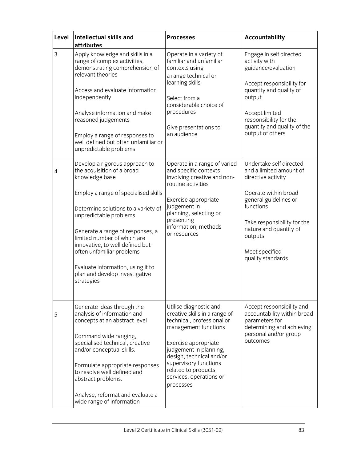| Level | <b>Intellectual skills and</b><br>attributes                                                                                                                                                                                                                                                                                                                                                                    | <b>Processes</b>                                                                                                                                                                                                                                                                     | <b>Accountability</b>                                                                                                                                                                                                                             |
|-------|-----------------------------------------------------------------------------------------------------------------------------------------------------------------------------------------------------------------------------------------------------------------------------------------------------------------------------------------------------------------------------------------------------------------|--------------------------------------------------------------------------------------------------------------------------------------------------------------------------------------------------------------------------------------------------------------------------------------|---------------------------------------------------------------------------------------------------------------------------------------------------------------------------------------------------------------------------------------------------|
| 3     | Apply knowledge and skills in a<br>range of complex activities,<br>demonstrating comprehension of<br>relevant theories<br>Access and evaluate information<br>independently<br>Analyse information and make<br>reasoned judgements<br>Employ a range of responses to<br>well defined but often unfamiliar or<br>unpredictable problems                                                                           | Operate in a variety of<br>familiar and unfamiliar<br>contexts using<br>a range technical or<br>learning skills<br>Select from a<br>considerable choice of<br>procedures<br>Give presentations to<br>an audience                                                                     | Engage in self directed<br>activity with<br>guidance/evaluation<br>Accept responsibility for<br>quantity and quality of<br>output<br>Accept limited<br>responsibility for the<br>quantity and quality of the<br>output of others                  |
| 4     | Develop a rigorous approach to<br>the acquisition of a broad<br>knowledge base<br>Employ a range of specialised skills<br>Determine solutions to a variety of<br>unpredictable problems<br>Generate a range of responses, a<br>limited number of which are<br>innovative, to well defined but<br>often unfamiliar problems<br>Evaluate information, using it to<br>plan and develop investigative<br>strategies | Operate in a range of varied<br>and specific contexts<br>involving creative and non-<br>routine activities<br>Exercise appropriate<br>judgement in<br>planning, selecting or<br>presenting<br>information, methods<br>or resources                                                   | Undertake self directed<br>and a limited amount of<br>directive activity<br>Operate within broad<br>general guidelines or<br>functions<br>Take responsibility for the<br>nature and quantity of<br>outputs<br>Meet specified<br>quality standards |
| 5     | Generate ideas through the<br>analysis of information and<br>concepts at an abstract level<br>Command wide ranging,<br>specialised technical, creative<br>and/or conceptual skills.<br>Formulate appropriate responses<br>to resolve well defined and<br>abstract problems.<br>Analyse, reformat and evaluate a<br>wide range of information                                                                    | Utilise diagnostic and<br>creative skills in a range of<br>technical, professional or<br>management functions<br>Exercise appropriate<br>judgement in planning,<br>design, technical and/or<br>supervisory functions<br>related to products,<br>services, operations or<br>processes | Accept responsibility and<br>accountability within broad<br>parameters for<br>determining and achieving<br>personal and/or group<br>outcomes                                                                                                      |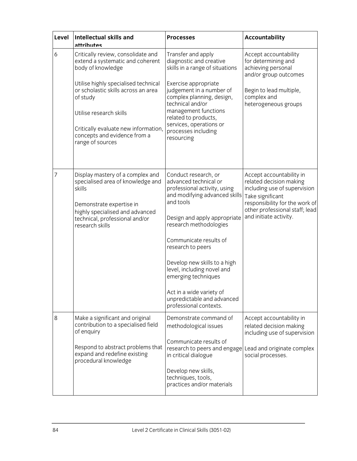| Level | <b>Intellectual skills and</b><br>attributes                                                                                                                                                        | <b>Processes</b>                                                                                                                                                                                                                                                                                                                                                                                              | <b>Accountability</b>                                                                                                                                                                                 |
|-------|-----------------------------------------------------------------------------------------------------------------------------------------------------------------------------------------------------|---------------------------------------------------------------------------------------------------------------------------------------------------------------------------------------------------------------------------------------------------------------------------------------------------------------------------------------------------------------------------------------------------------------|-------------------------------------------------------------------------------------------------------------------------------------------------------------------------------------------------------|
| 6     | Critically review, consolidate and<br>extend a systematic and coherent<br>body of knowledge                                                                                                         | Transfer and apply<br>diagnostic and creative<br>skills in a range of situations                                                                                                                                                                                                                                                                                                                              | Accept accountability<br>for determining and<br>achieving personal<br>and/or group outcomes                                                                                                           |
|       | Utilise highly specialised technical<br>or scholastic skills across an area<br>of study<br>Utilise research skills                                                                                  | Exercise appropriate<br>judgement in a number of<br>complex planning, design,<br>technical and/or<br>management functions                                                                                                                                                                                                                                                                                     | Begin to lead multiple,<br>complex and<br>heterogeneous groups                                                                                                                                        |
|       | Critically evaluate new information,<br>concepts and evidence from a<br>range of sources                                                                                                            | related to products,<br>services, operations or<br>processes including<br>resourcing                                                                                                                                                                                                                                                                                                                          |                                                                                                                                                                                                       |
| 7     | Display mastery of a complex and<br>specialised area of knowledge and<br>skills<br>Demonstrate expertise in<br>highly specialised and advanced<br>technical, professional and/or<br>research skills | Conduct research, or<br>advanced technical or<br>professional activity, using<br>and modifying advanced skills<br>and tools<br>Design and apply appropriate<br>research methodologies<br>Communicate results of<br>research to peers<br>Develop new skills to a high<br>level, including novel and<br>emerging techniques<br>Act in a wide variety of<br>unpredictable and advanced<br>professional contexts. | Accept accountability in<br>related decision making<br>including use of supervision<br>Take significant<br>responsibility for the work of<br>other professional staff; lead<br>and initiate activity. |
| 8     | Make a significant and original<br>contribution to a specialised field<br>of enquiry                                                                                                                | Demonstrate command of<br>methodological issues                                                                                                                                                                                                                                                                                                                                                               | Accept accountability in<br>related decision making<br>including use of supervision                                                                                                                   |
|       | Respond to abstract problems that<br>expand and redefine existing<br>procedural knowledge                                                                                                           | Communicate results of<br>research to peers and engage<br>in critical dialogue                                                                                                                                                                                                                                                                                                                                | Lead and originate complex<br>social processes.                                                                                                                                                       |
|       |                                                                                                                                                                                                     | Develop new skills,<br>techniques, tools,<br>practices and/or materials                                                                                                                                                                                                                                                                                                                                       |                                                                                                                                                                                                       |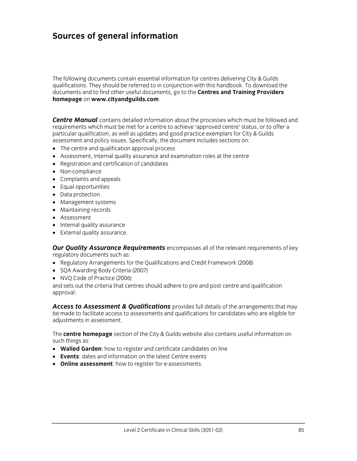# **Sources of general information**

The following documents contain essential information for centres delivering City & Guilds qualifications. They should be referred to in conjunction with this handbook. To download the documents and to find other useful documents, go to the **Centres and Training Providers homepage** on **www.cityandguilds.com**.

**Centre Manual** contains detailed information about the processes which must be followed and requirements which must be met for a centre to achieve 'approved centre' status, or to offer a particular qualification, as well as updates and good practice exemplars for City & Guilds assessment and policy issues. Specifically, the document includes sections on:

- The centre and qualification approval process
- Assessment, internal quality assurance and examination roles at the centre
- Registration and certification of candidates
- Non-compliance
- Complaints and appeals
- Equal opportunities
- Data protection
- Management systems
- Maintaining records
- Assessment
- Internal quality assurance
- External quality assurance.

*Our Quality Assurance Requirements* encompasses all of the relevant requirements of key regulatory documents such as:

- Regulatory Arrangements for the Qualifications and Credit Framework (2008)
- SQA Awarding Body Criteria (2007)
- NVQ Code of Practice (2006)

and sets out the criteria that centres should adhere to pre and post centre and qualification approval.

*Access to Assessment & Qualifications* provides full details of the arrangements that may be made to facilitate access to assessments and qualifications for candidates who are eligible for adjustments in assessment.

The **centre homepage** section of the City & Guilds website also contains useful information on such things as:

- **Walled Garden**: how to register and certificate candidates on line
- **Events**: dates and information on the latest Centre events
- **Online assessment**: how to register for e-assessments.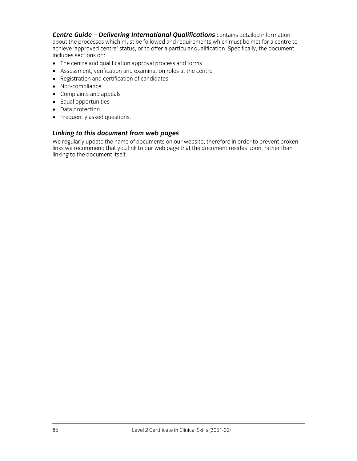*Centre Guide – Delivering International Qualifications* contains detailed information about the processes which must be followed and requirements which must be met for a centre to achieve 'approved centre' status, or to offer a particular qualification. Specifically, the document includes sections on:

- The centre and qualification approval process and forms
- Assessment, verification and examination roles at the centre
- Registration and certification of candidates
- Non-compliance
- Complaints and appeals
- Equal opportunities
- Data protection
- Frequently asked questions.

## *Linking to this document from web pages*

We regularly update the name of documents on our website, therefore in order to prevent broken links we recommend that you link to our web page that the document resides upon, rather than linking to the document itself.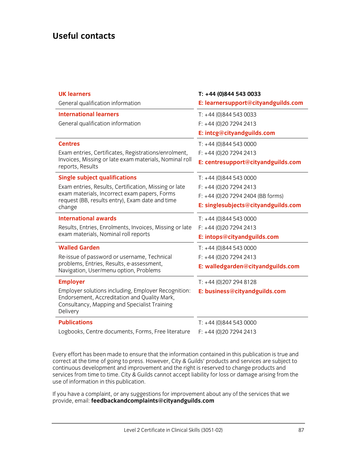# **Useful contacts**

| <b>UK learners</b>                                                                                                                                              | $T: +44(0)8445430033$               |  |
|-----------------------------------------------------------------------------------------------------------------------------------------------------------------|-------------------------------------|--|
| General qualification information                                                                                                                               | E: learnersupport@cityandguilds.com |  |
| <b>International learners</b>                                                                                                                                   | $T: +44(0)8445430033$               |  |
| General qualification information                                                                                                                               | $F: +44(0)2072942413$               |  |
|                                                                                                                                                                 | E: intcg@cityandguilds.com          |  |
| <b>Centres</b>                                                                                                                                                  | $T: +44(0)8445430000$               |  |
| Exam entries, Certificates, Registrations/enrolment,                                                                                                            | F: +44 (0)20 7294 2413              |  |
| Invoices, Missing or late exam materials, Nominal roll<br>reports, Results                                                                                      | E: centresupport@cityandguilds.com  |  |
| <b>Single subject qualifications</b>                                                                                                                            | $T: +44(0)8445430000$               |  |
| Exam entries, Results, Certification, Missing or late                                                                                                           | $F: +44(0)2072942413$               |  |
| exam materials, Incorrect exam papers, Forms<br>request (BB, results entry), Exam date and time                                                                 | F: +44 (0)20 7294 2404 (BB forms)   |  |
| change                                                                                                                                                          | E: singlesubjects@cityandguilds.com |  |
| <b>International awards</b>                                                                                                                                     | $T: +44(0)8445430000$               |  |
| Results, Entries, Enrolments, Invoices, Missing or late                                                                                                         | F: +44 (0)20 7294 2413              |  |
| exam materials, Nominal roll reports                                                                                                                            | E: intops@cityandguilds.com         |  |
| <b>Walled Garden</b>                                                                                                                                            | $T: +44(0)8445430000$               |  |
| Re-issue of password or username, Technical                                                                                                                     | F: +44 (0)20 7294 2413              |  |
| problems, Entries, Results, e-assessment,<br>Navigation, User/menu option, Problems                                                                             | E: walledgarden@cityandguilds.com   |  |
| <b>Employer</b>                                                                                                                                                 | T: +44 (0) 207 294 8128             |  |
| Employer solutions including, Employer Recognition:<br>Endorsement, Accreditation and Quality Mark,<br>Consultancy, Mapping and Specialist Training<br>Delivery | E: business@cityandguilds.com       |  |
| <b>Publications</b>                                                                                                                                             | $T: +44(0)8445430000$               |  |
| Logbooks, Centre documents, Forms, Free literature                                                                                                              | $F: +44(0)2072942413$               |  |

Every effort has been made to ensure that the information contained in this publication is true and correct at the time of going to press. However, City & Guilds' products and services are subject to continuous development and improvement and the right is reserved to change products and services from time to time. City & Guilds cannot accept liability for loss or damage arising from the use of information in this publication.

If you have a complaint, or any suggestions for improvement about any of the services that we provide, email: **feedbackandcomplaints@cityandguilds.com**